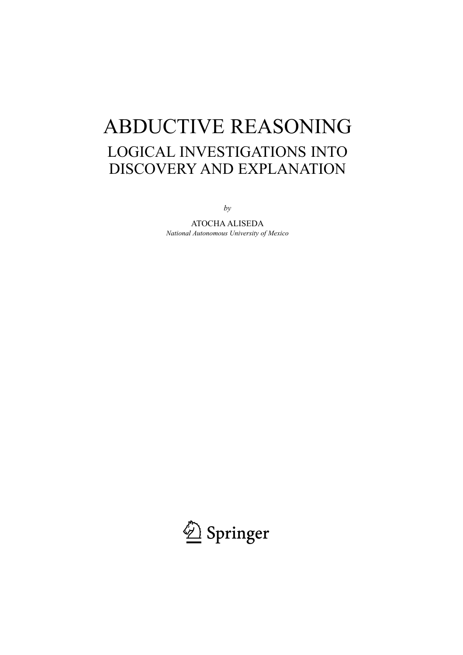# ABDUCTIVE REASONING LOGICAL INVESTIGATIONS INTO DISCOVERY AND EXPLANATION

*by*

ATOCHA ALISEDA *National Autonomous University of Mexico*

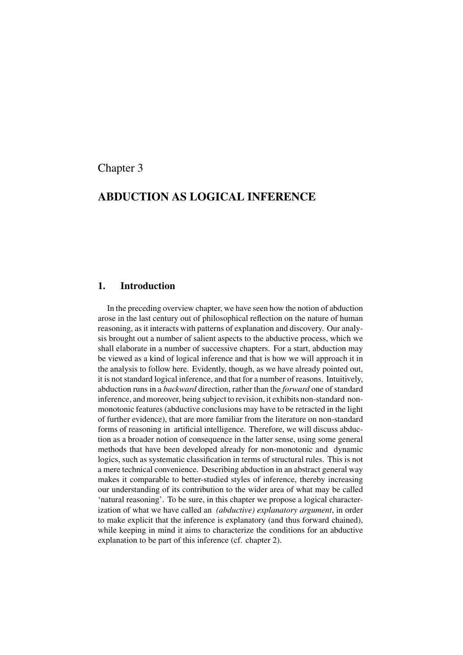# Chapter 3

# **ABDUCTION AS LOGICAL INFERENCE**

# **1. Introduction**

In the preceding overview chapter, we have seen how the notion of abduction arose in the last century out of philosophical reflection on the nature of human reasoning, as it interacts with patterns of explanation and discovery. Our analysis brought out a number of salient aspects to the abductive process, which we shall elaborate in a number of successive chapters. For a start, abduction may be viewed as a kind of logical inference and that is how we will approach it in the analysis to follow here. Evidently, though, as we have already pointed out, it is not standard logical inference, and that for a number of reasons. Intuitively, abduction runs in a *backward* direction, rather than the *forward* one of standard inference, andmoreover, being subject to revision, it exhibits non-standard nonmonotonic features (abductive conclusions may have to be retracted in the light of further evidence), that are more familiar from the literature on non-standard forms of reasoning in artificial intelligence. Therefore, we will discuss abduction as a broader notion of consequence in the latter sense, using some general methods that have been developed already for non-monotonic and dynamic logics, such as systematic classification in terms of structural rules. This is not a mere technical convenience. Describing abduction in an abstract general way makes it comparable to better-studied styles of inference, thereby increasing our understanding of its contribution to the wider area of what may be called 'natural reasoning'. To be sure, in this chapter we propose a logical characterization of what we have called an *(abductive) explanatory argument*, in order to make explicit that the inference is explanatory (and thus forward chained), while keeping in mind it aims to characterize the conditions for an abductive explanation to be part of this inference (cf. chapter 2).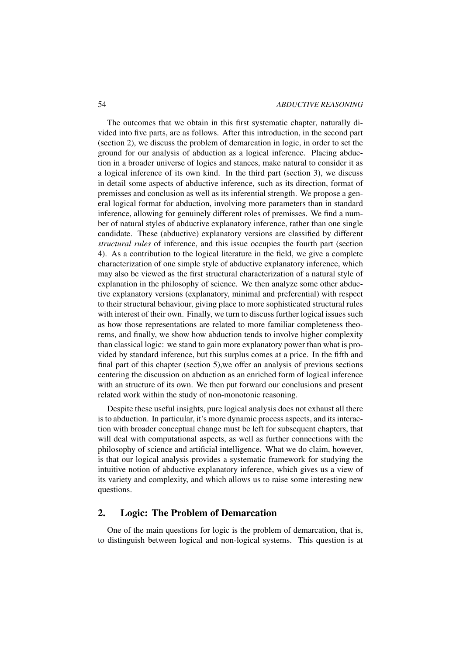The outcomes that we obtain in this first systematic chapter, naturally divided into five parts, are as follows. After this introduction, in the second part (section 2), we discuss the problem of demarcation in logic, in order to set the ground for our analysis of abduction as a logical inference. Placing abduction in a broader universe of logics and stances, make natural to consider it as a logical inference of its own kind. In the third part (section 3), we discuss in detail some aspects of abductive inference, such as its direction, format of premisses and conclusion as well as its inferential strength. We propose a general logical format for abduction, involving more parameters than in standard inference, allowing for genuinely different roles of premisses. We find a number of natural styles of abductive explanatory inference, rather than one single candidate. These (abductive) explanatory versions are classified by different *structural rules* of inference, and this issue occupies the fourth part (section 4). As a contribution to the logical literature in the field, we give a complete characterization of one simple style of abductive explanatory inference, which may also be viewed as the first structural characterization of a natural style of explanation in the philosophy of science. We then analyze some other abductive explanatory versions (explanatory, minimal and preferential) with respect to their structural behaviour, giving place to more sophisticated structural rules with interest of their own. Finally, we turn to discuss further logical issues such as how those representations are related to more familiar completeness theorems, and finally, we show how abduction tends to involve higher complexity than classical logic: we stand to gain more explanatory power than what is provided by standard inference, but this surplus comes at a price. In the fifth and final part of this chapter (section 5),we offer an analysis of previous sections centering the discussion on abduction as an enriched form of logical inference with an structure of its own. We then put forward our conclusions and present related work within the study of non-monotonic reasoning.

Despite these useful insights, pure logical analysis does not exhaust all there isto abduction. In particular, it's more dynamic process aspects, and itsinteraction with broader conceptual change must be left for subsequent chapters, that will deal with computational aspects, as well as further connections with the philosophy of science and artificial intelligence. What we do claim, however, is that our logical analysis provides a systematic framework for studying the intuitive notion of abductive explanatory inference, which gives us a view of its variety and complexity, and which allows us to raise some interesting new questions.

# **2. Logic: The Problem of Demarcation**

One of the main questions for logic is the problem of demarcation, that is, to distinguish between logical and non-logical systems. This question is at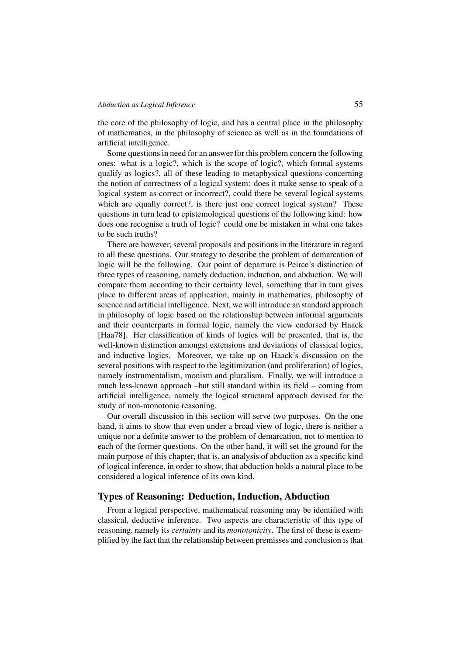the core of the philosophy of logic, and has a central place in the philosophy of mathematics, in the philosophy of science as well as in the foundations of artificial intelligence.

Some questions in need for an answer for this problem concern the following ones: what is a logic?, which is the scope of logic?, which formal systems qualify as logics?, all of these leading to metaphysical questions concerning the notion of correctness of a logical system: does it make sense to speak of a logical system as correct or incorrect?, could there be several logical systems which are equally correct?, is there just one correct logical system? These questions in turn lead to epistemological questions of the following kind: how does one recognise a truth of logic? could one be mistaken in what one takes to be such truths?

There are however, several proposals and positions in the literature in regard to all these questions. Our strategy to describe the problem of demarcation of logic will be the following. Our point of departure is Peirce's distinction of three types of reasoning, namely deduction, induction, and abduction. We will compare them according to their certainty level, something that in turn gives place to different areas of application, mainly in mathematics, philosophy of science and artificial intelligence. Next, we will introduce an standard approach in philosophy of logic based on the relationship between informal arguments and their counterparts in formal logic, namely the view endorsed by Haack [Haa78]. Her classification of kinds of logics will be presented, that is, the well-known distinction amongst extensions and deviations of classical logics, and inductive logics. Moreover, we take up on Haack's discussion on the several positions with respect to the legitimization (and proliferation) of logics, namely instrumentalism, monism and pluralism. Finally, we will introduce a much less-known approach –but still standard within its field – coming from artificial intelligence, namely the logical structural approach devised for the study of non-monotonic reasoning.

Our overall discussion in this section will serve two purposes. On the one hand, it aims to show that even under a broad view of logic, there is neither a unique nor a definite answer to the problem of demarcation, not to mention to each of the former questions. On the other hand, it will set the ground for the main purpose of this chapter, that is, an analysis of abduction as a specific kind of logical inference, in order to show, that abduction holds a natural place to be considered a logical inference of its own kind.

# **Types of Reasoning: Deduction, Induction, Abduction**

From a logical perspective, mathematical reasoning may be identified with classical, deductive inference. Two aspects are characteristic of this type of reasoning, namely its *certainty* and its *monotonicity*. The first of these is exemplified by the fact that the relationship between premisses and conclusion isthat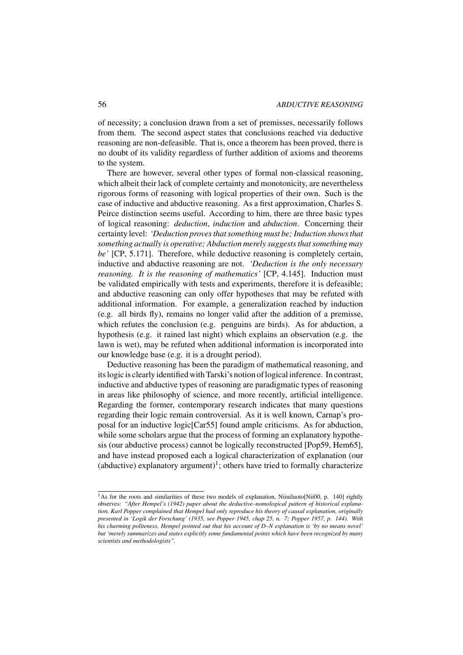of necessity; a conclusion drawn from a set of premisses, necessarily follows from them. The second aspect states that conclusions reached via deductive reasoning are non-defeasible. That is, once a theorem has been proved, there is no doubt of its validity regardless of further addition of axioms and theorems to the system.

There are however, several other types of formal non-classical reasoning, which albeit their lack of complete certainty and monotonicity, are nevertheless rigorous forms of reasoning with logical properties of their own. Such is the case of inductive and abductive reasoning. As a first approximation, Charles S. Peirce distinction seems useful. According to him, there are three basic types of logical reasoning: *deduction*, *induction* and *abduction*. Concerning their certainty level: *'Deduction provesthatsomething must be; Induction showsthat something actually is operative; Abduction merely suggeststhatsomething may be'* [CP, 5.171]. Therefore, while deductive reasoning is completely certain, inductive and abductive reasoning are not. *'Deduction is the only necessary reasoning. It is the reasoning of mathematics'* [CP, 4.145]. Induction must be validated empirically with tests and experiments, therefore it is defeasible; and abductive reasoning can only offer hypotheses that may be refuted with additional information. For example, a generalization reached by induction (e.g. all birds fly), remains no longer valid after the addition of a premisse, which refutes the conclusion (e.g. penguins are birds). As for abduction, a hypothesis (e.g. it rained last night) which explains an observation (e.g. the lawn is wet), may be refuted when additional information is incorporated into our knowledge base (e.g. it is a drought period).

Deductive reasoning has been the paradigm of mathematical reasoning, and its logic is clearly identified with Tarski's notion of logical inference. In contrast, inductive and abductive types of reasoning are paradigmatic types of reasoning in areas like philosophy of science, and more recently, artificial intelligence. Regarding the former, contemporary research indicates that many questions regarding their logic remain controversial. As it is well known, Carnap's proposal for an inductive logic[Car55] found ample criticisms. As for abduction, while some scholars argue that the process of forming an explanatory hypothesis (our abductive process) cannot be logically reconstructed [Pop59, Hem65], and have instead proposed each a logical characterization of explanation (our (abductive) explanatory argument)<sup>1</sup>; others have tried to formally characterize

<sup>&</sup>lt;sup>1</sup>As for the roots and similarities of these two models of explanation, Niiniluoto[Nii00, p. 140] rightly observes: *"After Hempel's (1942) paper about the deductive–nomological pattern of historical explanation, Karl Popper complained that Hempel had only reproduce his theory of causal explanation, originally* presented in 'Logik der Forschung' (1935, see Popper 1945, chap 25, n. 7; Popper 1957, p. 144). With *his charming politeness, Hempel pointed out that his account of D–N explanation is 'by no means novel' but 'merely summarizes and states explicitly some fundamental points which have been recognized by many scientists and methodologists".*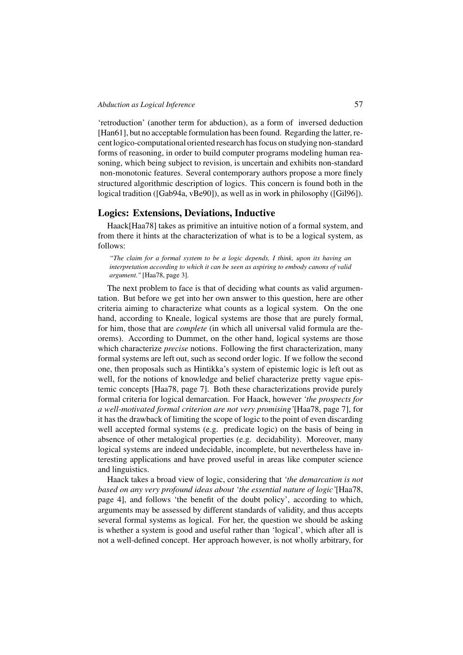'retroduction' (another term for abduction), as a form of inversed deduction [Han61], but no acceptable formulation has been found. Regarding the latter, recent logico-computational oriented research hasfocus on studying non-standard forms of reasoning, in order to build computer programs modeling human reasoning, which being subject to revision, is uncertain and exhibits non-standard non-monotonic features. Several contemporary authors propose a more finely structured algorithmic description of logics. This concern is found both in the logical tradition ([Gab94a, vBe90]), as well as in work in philosophy ([Gil96]).

# **Logics: Extensions, Deviations, Inductive**

Haack[Haa78] takes as primitive an intuitive notion of a formal system, and from there it hints at the characterization of what is to be a logical system, as follows:

*"The claim for a formal system to be a logic depends, I think, upon its having an interpretation according to which it can be seen as aspiring to embody canons of valid argument."* [Haa78, page 3].

The next problem to face is that of deciding what counts as valid argumentation. But before we get into her own answer to this question, here are other criteria aiming to characterize what counts as a logical system. On the one hand, according to Kneale, logical systems are those that are purely formal, for him, those that are *complete* (in which all universal valid formula are theorems). According to Dummet, on the other hand, logical systems are those which characterize *precise* notions. Following the first characterization, many formal systems are left out, such as second order logic. If we follow the second one, then proposals such as Hintikka's system of epistemic logic is left out as well, for the notions of knowledge and belief characterize pretty vague epistemic concepts [Haa78, page 7]. Both these characterizations provide purely formal criteria for logical demarcation. For Haack, however *'the prospects for a well-motivated formal criterion are not very promising'*[Haa78, page 7], for it has the drawback of limiting the scope of logic to the point of even discarding well accepted formal systems (e.g. predicate logic) on the basis of being in absence of other metalogical properties (e.g. decidability). Moreover, many logical systems are indeed undecidable, incomplete, but nevertheless have interesting applications and have proved useful in areas like computer science and linguistics.

Haack takes a broad view of logic, considering that *'the demarcation is not based on any very profound ideas about 'the essential nature of logic'*[Haa78, page 4], and follows 'the benefit of the doubt policy', according to which, arguments may be assessed by different standards of validity, and thus accepts several formal systems as logical. For her, the question we should be asking is whether a system is good and useful rather than 'logical', which after all is not a well-defined concept. Her approach however, is not wholly arbitrary, for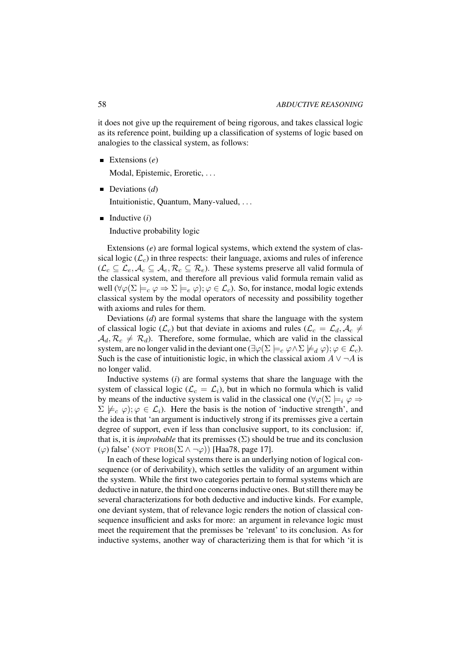it does not give up the requirement of being rigorous, and takes classical logic as its reference point, building up a classification of systems of logic based on analogies to the classical system, as follows:

Extensions  $(e)$ 

Modal, Epistemic, Eroretic, . . .

- Deviations (*d*) Intuitionistic, Quantum, Many-valued, . . .
- Inductive  $(i)$

Inductive probability logic

Extensions (*e*) are formal logical systems, which extend the system of classical logic  $(\mathcal{L}_c)$  in three respects: their language, axioms and rules of inference  $(\mathcal{L}_c \subseteq \mathcal{L}_e, \mathcal{A}_c \subseteq \mathcal{A}_e, \mathcal{R}_c \subseteq \mathcal{R}_e)$ . These systems preserve all valid formula of the classical system, and therefore all previous valid formula remain valid as well  $(\forall \varphi(\Sigma \models_c \varphi \Rightarrow \Sigma \models_e \varphi); \varphi \in \mathcal{L}_c)$ . So, for instance, modal logic extends classical system by the modal operators of necessity and possibility together with axioms and rules for them.

Deviations (*d*) are formal systems that share the language with the system of classical logic ( $\mathcal{L}_c$ ) but that deviate in axioms and rules ( $\mathcal{L}_c = \mathcal{L}_d$ ,  $\mathcal{A}_c \neq$  $\mathcal{A}_d, \mathcal{R}_c \neq \mathcal{R}_d$ . Therefore, some formulae, which are valid in the classical system, are no longer valid in the deviant one ( $\exists \varphi(\Sigma \models_c \varphi \land \Sigma \not\models_d \varphi); \varphi \in \mathcal{L}_c$ ). Such is the case of intuitionistic logic, in which the classical axiom  $A \vee \neg A$  is no longer valid.

Inductive systems (*i*) are formal systems that share the language with the system of classical logic ( $\mathcal{L}_c = \mathcal{L}_i$ ), but in which no formula which is valid by means of the inductive system is valid in the classical one ( $\forall \varphi(\Sigma \models_i \varphi \Rightarrow$  $\Sigma \not\models_{c} \varphi$ ;  $\varphi \in \mathcal{L}_{i}$ ). Here the basis is the notion of 'inductive strength', and the idea is that 'an argument is inductively strong if its premisses give a certain degree of support, even if less than conclusive support, to its conclusion: if, that is, it is *improbable* that its premisses  $(\Sigma)$  should be true and its conclusion ( $\varphi$ ) false' (NOT PROB( $\Sigma \wedge \neg \varphi$ )) [Haa78, page 17].

In each of these logical systems there is an underlying notion of logical consequence (or of derivability), which settles the validity of an argument within the system. While the first two categories pertain to formal systems which are deductive in nature, the third one concernsinductive ones. Butstill there may be several characterizations for both deductive and inductive kinds. For example, one deviant system, that of relevance logic renders the notion of classical consequence insufficient and asks for more: an argument in relevance logic must meet the requirement that the premisses be 'relevant' to its conclusion. As for inductive systems, another way of characterizing them is that for which 'it is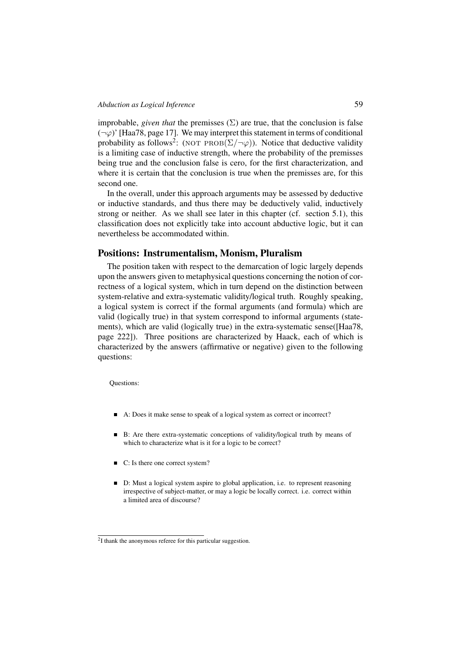improbable, *given that* the premisses  $(\Sigma)$  are true, that the conclusion is false  $(\neg \varphi)$ ' [Haa78, page 17]. We may interpret this statement in terms of conditional probability as follows<sup>2</sup>: (NOT PROB( $\Sigma/\neg\varphi$ )). Notice that deductive validity is a limiting case of inductive strength, where the probability of the premisses being true and the conclusion false is cero, for the first characterization, and where it is certain that the conclusion is true when the premisses are, for this second one.

In the overall, under this approach arguments may be assessed by deductive or inductive standards, and thus there may be deductively valid, inductively strong or neither. As we shall see later in this chapter (cf. section 5.1), this classification does not explicitly take into account abductive logic, but it can nevertheless be accommodated within.

### **Positions: Instrumentalism, Monism, Pluralism**

The position taken with respect to the demarcation of logic largely depends upon the answers given to metaphysical questions concerning the notion of correctness of a logical system, which in turn depend on the distinction between system-relative and extra-systematic validity/logical truth. Roughly speaking, a logical system is correct if the formal arguments (and formula) which are valid (logically true) in that system correspond to informal arguments (statements), which are valid (logically true) in the extra-systematic sense([Haa78, page 222]). Three positions are characterized by Haack, each of which is characterized by the answers (affirmative or negative) given to the following questions:

Questions:

- A: Does it make sense to speak of a logical system as correct or incorrect?
- B: Are there extra-systematic conceptions of validity/logical truth by means of which to characterize what is it for a logic to be correct?
- C: Is there one correct system?
- D: Must a logical system aspire to global application, i.e. to represent reasoning irrespective of subject-matter, or may a logic be locally correct. i.e. correct within a limited area of discourse?

<sup>&</sup>lt;sup>2</sup>I thank the anonymous referee for this particular suggestion.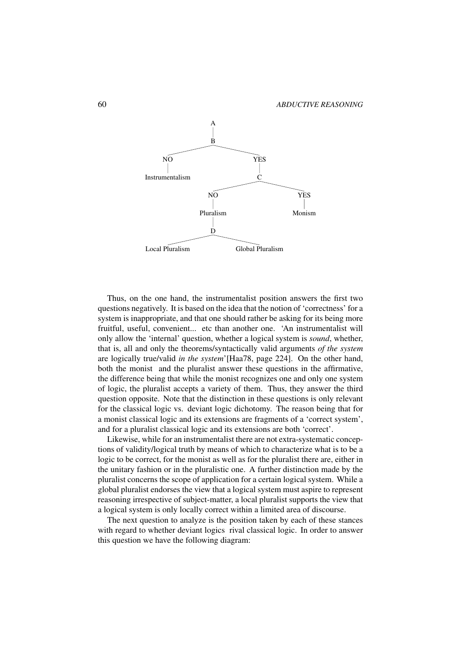

Thus, on the one hand, the instrumentalist position answers the first two questions negatively. It is based on the idea that the notion of 'correctness' for a system is inappropriate, and that one should rather be asking for its being more fruitful, useful, convenient... etc than another one. 'An instrumentalist will only allow the 'internal' question, whether a logical system is *sound*, whether, that is, all and only the theorems/syntactically valid arguments *of the system* are logically true/valid *in the system*'[Haa78, page 224]. On the other hand, both the monist and the pluralist answer these questions in the affirmative, the difference being that while the monist recognizes one and only one system of logic, the pluralist accepts a variety of them. Thus, they answer the third question opposite. Note that the distinction in these questions is only relevant for the classical logic vs. deviant logic dichotomy. The reason being that for a monist classical logic and its extensions are fragments of a 'correct system', and for a pluralist classical logic and its extensions are both 'correct'.

Likewise, while for an instrumentalist there are not extra-systematic conceptions of validity/logical truth by means of which to characterize what is to be a logic to be correct, for the monist as well as for the pluralist there are, either in the unitary fashion or in the pluralistic one. A further distinction made by the pluralist concerns the scope of application for a certain logical system. While a global pluralist endorses the view that a logical system must aspire to represent reasoning irrespective of subject-matter, a local pluralist supports the view that a logical system is only locally correct within a limited area of discourse.

The next question to analyze is the position taken by each of these stances with regard to whether deviant logics rival classical logic. In order to answer this question we have the following diagram: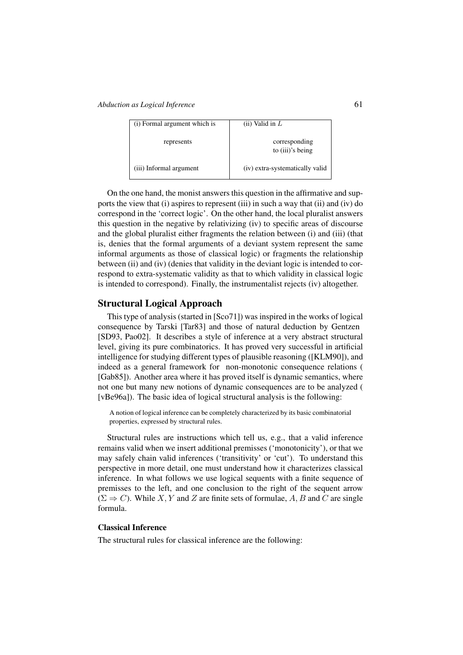

On the one hand, the monist answers this question in the affirmative and supports the view that (i) aspires to represent (iii) in such a way that (ii) and (iv) do correspond in the 'correct logic'. On the other hand, the local pluralist answers this question in the negative by relativizing (iv) to specific areas of discourse and the global pluralist either fragments the relation between (i) and (iii) (that is, denies that the formal arguments of a deviant system represent the same informal arguments as those of classical logic) or fragments the relationship between (ii) and (iv) (denies that validity in the deviant logic is intended to correspond to extra-systematic validity as that to which validity in classical logic is intended to correspond). Finally, the instrumentalist rejects (iv) altogether.

# **Structural Logical Approach**

This type of analysis (started in [Sco71]) was inspired in the works of logical consequence by Tarski [Tar83] and those of natural deduction by Gentzen [SD93, Pao02]. It describes a style of inference at a very abstract structural level, giving its pure combinatorics. It has proved very successful in artificial intelligence for studying different types of plausible reasoning ([KLM90]), and indeed as a general framework for non-monotonic consequence relations ( [Gab85]). Another area where it has proved itself is dynamic semantics, where not one but many new notions of dynamic consequences are to be analyzed ( [vBe96a]). The basic idea of logical structural analysis is the following:

A notion of logical inference can be completely characterized by its basic combinatorial properties, expressed by structural rules.

Structural rules are instructions which tell us, e.g., that a valid inference remains valid when we insert additional premisses ('monotonicity'), or that we may safely chain valid inferences ('transitivity' or 'cut'). To understand this perspective in more detail, one must understand how it characterizes classical inference. In what follows we use logical sequents with a finite sequence of premisses to the left, and one conclusion to the right of the sequent arrow  $(\Sigma \Rightarrow C)$ . While X, Y and Z are finite sets of formulae, A, B and C are single formula.

#### **Classical Inference**

The structural rules for classical inference are the following: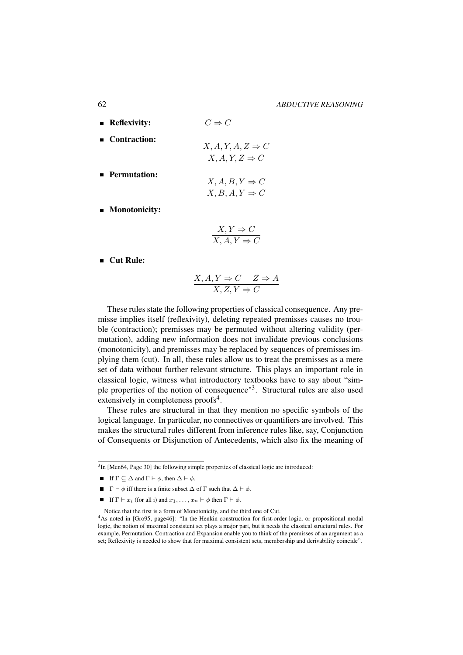**Reflexivity:**  $C \Rightarrow C$ **Contraction:**  $X, A, Y, A, Z \Rightarrow C$  $X, A, Y, Z \Rightarrow C$ **Permutation:**  $X, A, B, Y \Rightarrow C$  $X, B, A, Y \Rightarrow C$ **Monotonicity:** 

$$
X, Y \Rightarrow C
$$
  

$$
X, A, Y \Rightarrow C
$$

**Cut Rule:**

$$
\frac{X, A, Y \Rightarrow C \quad Z \Rightarrow A}{X, Z, Y \Rightarrow C}
$$

These rules state the following properties of classical consequence. Any premisse implies itself (reflexivity), deleting repeated premisses causes no trouble (contraction); premisses may be permuted without altering validity (permutation), adding new information does not invalidate previous conclusions (monotonicity), and premisses may be replaced by sequences of premisses implying them (cut). In all, these rules allow us to treat the premisses as a mere set of data without further relevant structure. This plays an important role in classical logic, witness what introductory textbooks have to say about "simple properties of the notion of consequence"3. Structural rules are also used extensively in completeness proofs<sup>4</sup>.

These rules are structural in that they mention no specific symbols of the logical language. In particular, no connectives or quantifiers are involved. This makes the structural rules different from inference rules like, say, Conjunction of Consequents or Disjunction of Antecedents, which also fix the meaning of

<sup>&</sup>lt;sup>3</sup>In [Men64, Page 30] the following simple properties of classical logic are introduced:

If Γ  $\subseteq$   $\Delta$  and Γ  $\vdash$   $\phi$ , then  $\Delta \vdash \phi$ .

**<sup>■</sup>**  $\Gamma \vdash \phi$  iff there is a finite subset  $\Delta$  of  $\Gamma$  such that  $\Delta \vdash \phi$ .

If  $\Gamma \vdash x_i$  (for all i) and  $x_1, \ldots, x_n \vdash \phi$  then  $\Gamma \vdash \phi$ .

Notice that the first is a form of Monotonicity, and the third one of Cut.

<sup>4</sup>As noted in [Gro95, page46]: "In the Henkin construction for first-order logic, or propositional modal logic, the notion of maximal consistent set plays a major part, but it needs the classical structural rules. For example, Permutation, Contraction and Expansion enable you to think of the premisses of an argument as a set; Reflexivity is needed to show that for maximal consistent sets, membership and derivability coincide".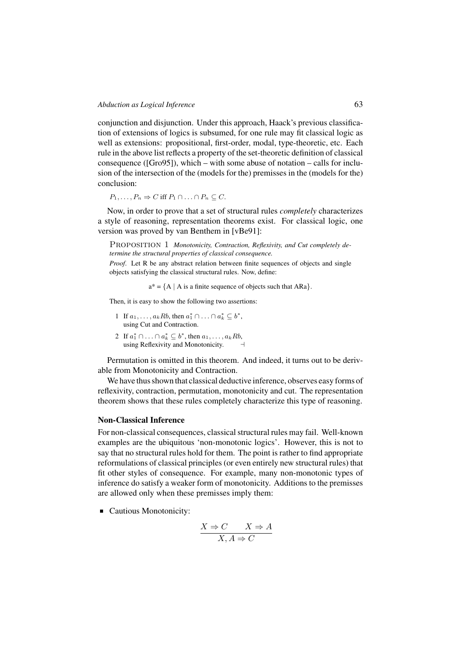conjunction and disjunction. Under this approach, Haack's previous classification of extensions of logics is subsumed, for one rule may fit classical logic as well as extensions: propositional, first-order, modal, type-theoretic, etc. Each rule in the above list reflects a property of the set-theoretic definition of classical consequence ([Gro95]), which – with some abuse of notation – calls for inclusion of the intersection of the (models for the) premisses in the (models for the) conclusion:

 $P_1, \ldots, P_n \Rightarrow C$  iff  $P_1 \cap \ldots \cap P_n \subseteq C$ .

Now, in order to prove that a set of structural rules *completely* characterizes a style of reasoning, representation theorems exist. For classical logic, one version was proved by van Benthem in [vBe91]:

Proposition 1 *Monotonicity, Contraction, Reflexivity, and Cut completely determine the structural properties of classical consequence.*

*Proof.* Let R be any abstract relation between finite sequences of objects and single objects satisfying the classical structural rules. Now, define:

 $a^* = \{A \mid A \text{ is a finite sequence of objects such that } ARa\}.$ 

Then, it is easy to show the following two assertions:

- 1 If  $a_1, \ldots, a_k R b$ , then  $a_1^* \cap \ldots \cap a_k^* \subseteq b^*$ , using Cut and Contraction.
- 2 If  $a_1^* \cap \ldots \cap a_k^* \subseteq b^*$ , then  $a_1, \ldots, a_k R b$ , using Reflexivity and Monotonicity. \$

Permutation is omitted in this theorem. And indeed, it turns out to be derivable from Monotonicity and Contraction.

We have thus shown that classical deductive inference, observes easy forms of reflexivity, contraction, permutation, monotonicity and cut. The representation theorem shows that these rules completely characterize this type of reasoning.

### **Non-Classical Inference**

For non-classical consequences, classical structural rules may fail. Well-known examples are the ubiquitous 'non-monotonic logics'. However, this is not to say that no structural rules hold for them. The point is rather to find appropriate reformulations of classical principles(or even entirely new structural rules) that fit other styles of consequence. For example, many non-monotonic types of inference do satisfy a weaker form of monotonicity. Additions to the premisses are allowed only when these premisses imply them:

Cautious Monotonicity:

$$
\frac{X \Rightarrow C \qquad X \Rightarrow A}{X, A \Rightarrow C}
$$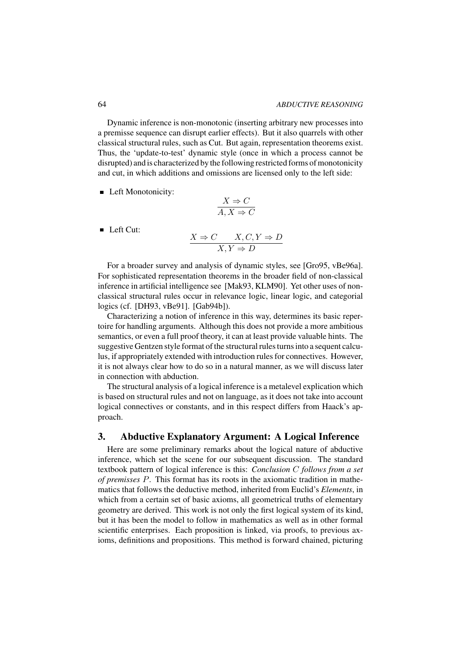Dynamic inference is non-monotonic (inserting arbitrary new processes into a premisse sequence can disrupt earlier effects). But it also quarrels with other classical structural rules, such as Cut. But again, representation theorems exist. Thus, the 'update-to-test' dynamic style (once in which a process cannot be disrupted) and is characterized by the following restricted forms of monotonicity and cut, in which additions and omissions are licensed only to the left side:

**Left Monotonicity:** 

$$
\frac{X \Rightarrow C}{A, X \Rightarrow C}
$$

 $\blacksquare$  Left Cut:

$$
\frac{X \Rightarrow C \qquad X, C, Y \Rightarrow D}{X, Y \Rightarrow D}
$$

For a broader survey and analysis of dynamic styles, see [Gro95, vBe96a]. For sophisticated representation theorems in the broader field of non-classical inference in artificial intelligence see [Mak93, KLM90]. Yet other uses of nonclassical structural rules occur in relevance logic, linear logic, and categorial logics (cf. [DH93, vBe91]. [Gab94b]).

Characterizing a notion of inference in this way, determines its basic repertoire for handling arguments. Although this does not provide a more ambitious semantics, or even a full proof theory, it can at least provide valuable hints. The suggestive Gentzen style format of the structural rules turns into a sequent calculus, if appropriately extended with introduction rules for connectives. However, it is not always clear how to do so in a natural manner, as we will discuss later in connection with abduction.

The structural analysis of a logical inference is a metalevel explication which is based on structural rules and not on language, as it does not take into account logical connectives or constants, and in this respect differs from Haack's approach.

# **3. Abductive Explanatory Argument: A Logical Inference**

Here are some preliminary remarks about the logical nature of abductive inference, which set the scene for our subsequent discussion. The standard textbook pattern of logical inference is this: *Conclusion* C *follows from a set of premisses* P. This format has its roots in the axiomatic tradition in mathematics that follows the deductive method, inherited from Euclid's *Elements*, in which from a certain set of basic axioms, all geometrical truths of elementary geometry are derived. This work is not only the first logical system of its kind, but it has been the model to follow in mathematics as well as in other formal scientific enterprises. Each proposition is linked, via proofs, to previous axioms, definitions and propositions. This method is forward chained, picturing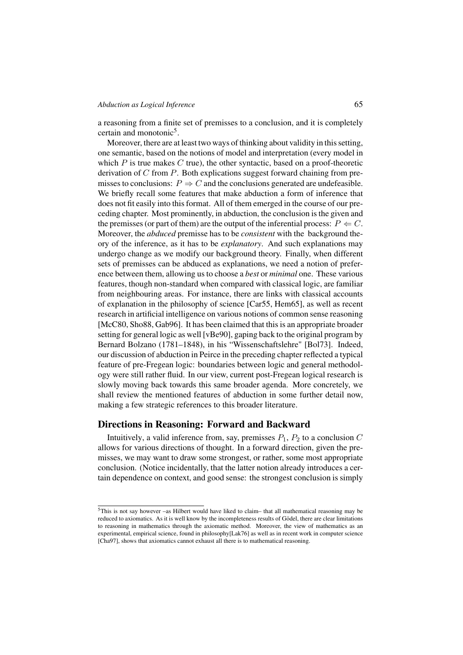a reasoning from a finite set of premisses to a conclusion, and it is completely certain and monotonic<sup>5</sup>.

Moreover, there are at least two ways of thinking about validity in this setting, one semantic, based on the notions of model and interpretation (every model in which  $P$  is true makes  $C$  true), the other syntactic, based on a proof-theoretic derivation of C from P. Both explications suggest forward chaining from premisses to conclusions:  $P \Rightarrow C$  and the conclusions generated are undefeasible. We briefly recall some features that make abduction a form of inference that does not fit easily into thisformat. All of them emerged in the course of our preceding chapter. Most prominently, in abduction, the conclusion isthe given and the premisses (or part of them) are the output of the inferential process:  $P \leftarrow C$ . Moreover, the *abduced* premisse has to be *consistent* with the background theory of the inference, as it has to be *explanatory*. And such explanations may undergo change as we modify our background theory. Finally, when different sets of premisses can be abduced as explanations, we need a notion of preference between them, allowing us to choose a *best* or *minimal* one. These various features, though non-standard when compared with classical logic, are familiar from neighbouring areas. For instance, there are links with classical accounts of explanation in the philosophy of science [Car55, Hem65], as well as recent research in artificial intelligence on various notions of common sense reasoning [McC80, Sho88, Gab96]. It has been claimed that this is an appropriate broader setting for general logic as well [vBe90], gaping back to the original program by Bernard Bolzano (1781–1848), in his "Wissenschaftslehre" [Bol73]. Indeed, our discussion of abduction in Peirce in the preceding chapter reflected a typical feature of pre-Fregean logic: boundaries between logic and general methodology were still rather fluid. In our view, current post-Fregean logical research is slowly moving back towards this same broader agenda. More concretely, we shall review the mentioned features of abduction in some further detail now, making a few strategic references to this broader literature.

# **Directions in Reasoning: Forward and Backward**

Intuitively, a valid inference from, say, premisses  $P_1$ ,  $P_2$  to a conclusion  $C$ allows for various directions of thought. In a forward direction, given the premisses, we may want to draw some strongest, or rather, some most appropriate conclusion. (Notice incidentally, that the latter notion already introduces a certain dependence on context, and good sense: the strongest conclusion is simply

 $5$ This is not say however –as Hilbert would have liked to claim– that all mathematical reasoning may be reduced to axiomatics. As it is well know by the incompleteness results of Gödel, there are clear limitations to reasoning in mathematics through the axiomatic method. Moreover, the view of mathematics as an experimental, empirical science, found in philosophy[Lak76] as well as in recent work in computer science [Cha97], shows that axiomatics cannot exhaust all there is to mathematical reasoning.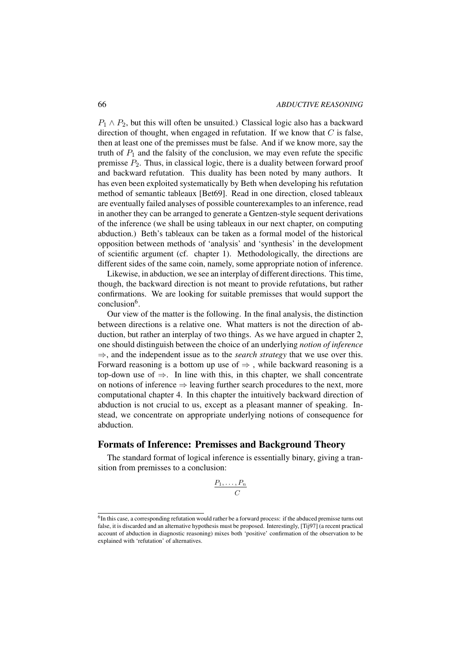$P_1 \wedge P_2$ , but this will often be unsuited.) Classical logic also has a backward direction of thought, when engaged in refutation. If we know that  $C$  is false, then at least one of the premisses must be false. And if we know more, say the truth of  $P_1$  and the falsity of the conclusion, we may even refute the specific premisse  $P_2$ . Thus, in classical logic, there is a duality between forward proof and backward refutation. This duality has been noted by many authors. It has even been exploited systematically by Beth when developing his refutation method of semantic tableaux [Bet69]. Read in one direction, closed tableaux are eventually failed analyses of possible counterexamplesto an inference, read in another they can be arranged to generate a Gentzen-style sequent derivations of the inference (we shall be using tableaux in our next chapter, on computing abduction.) Beth's tableaux can be taken as a formal model of the historical opposition between methods of 'analysis' and 'synthesis' in the development of scientific argument (cf. chapter 1). Methodologically, the directions are different sides of the same coin, namely, some appropriate notion of inference.

Likewise, in abduction, we see an interplay of different directions. Thistime, though, the backward direction is not meant to provide refutations, but rather confirmations. We are looking for suitable premisses that would support the conclusion<sup>6</sup>.

Our view of the matter is the following. In the final analysis, the distinction between directions is a relative one. What matters is not the direction of abduction, but rather an interplay of two things. As we have argued in chapter 2, one should distinguish between the choice of an underlying *notion of inference* ⇒, and the independent issue as to the *search strategy* that we use over this. Forward reasoning is a bottom up use of  $\Rightarrow$ , while backward reasoning is a top-down use of  $\Rightarrow$ . In line with this, in this chapter, we shall concentrate on notions of inference  $\Rightarrow$  leaving further search procedures to the next, more computational chapter 4. In this chapter the intuitively backward direction of abduction is not crucial to us, except as a pleasant manner of speaking. Instead, we concentrate on appropriate underlying notions of consequence for abduction.

# **Formats of Inference: Premisses and Background Theory**

The standard format of logical inference is essentially binary, giving a transition from premisses to a conclusion:

$$
\frac{P_1,\ldots,P_n}{C}
$$

 ${}^{6}$  In this case, a corresponding refutation would rather be a forward process: if the abduced premisse turns out false, it is discarded and an alternative hypothesis must be proposed. Interestingly, [Tij97] (a recent practical account of abduction in diagnostic reasoning) mixes both 'positive' confirmation of the observation to be explained with 'refutation' of alternatives.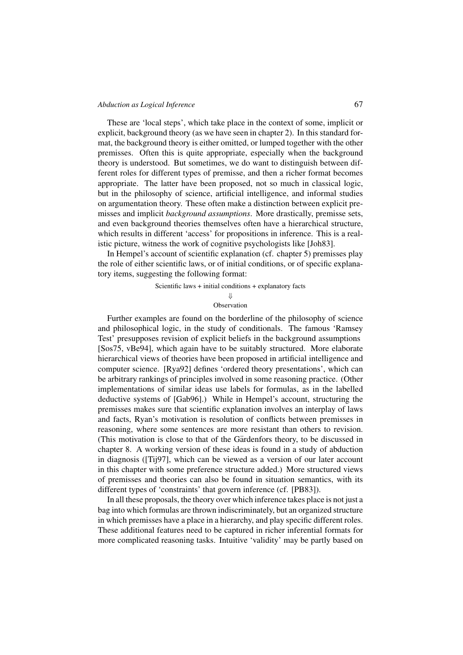These are 'local steps', which take place in the context of some, implicit or explicit, background theory (as we have seen in chapter 2). In this standard format, the background theory is either omitted, or lumped together with the other premisses. Often this is quite appropriate, especially when the background theory is understood. But sometimes, we do want to distinguish between different roles for different types of premisse, and then a richer format becomes appropriate. The latter have been proposed, not so much in classical logic, but in the philosophy of science, artificial intelligence, and informal studies on argumentation theory. These often make a distinction between explicit premisses and implicit *background assumptions*. More drastically, premisse sets, and even background theories themselves often have a hierarchical structure, which results in different 'access' for propositions in inference. This is a realistic picture, witness the work of cognitive psychologists like [Joh83].

In Hempel's account of scientific explanation (cf. chapter 5) premisses play the role of either scientific laws, or of initial conditions, or of specific explanatory items, suggesting the following format:

#### Scientific laws + initial conditions + explanatory facts

 $\overline{\mathbf{u}}$ 

#### Observation

Further examples are found on the borderline of the philosophy of science and philosophical logic, in the study of conditionals. The famous 'Ramsey Test' presupposes revision of explicit beliefs in the background assumptions [Sos75, vBe94], which again have to be suitably structured. More elaborate hierarchical views of theories have been proposed in artificial intelligence and computer science. [Rya92] defines 'ordered theory presentations', which can be arbitrary rankings of principles involved in some reasoning practice. (Other implementations of similar ideas use labels for formulas, as in the labelled deductive systems of [Gab96].) While in Hempel's account, structuring the premisses makes sure that scientific explanation involves an interplay of laws and facts, Ryan's motivation is resolution of conflicts between premisses in reasoning, where some sentences are more resistant than others to revision. (This motivation is close to that of the Gärdenfors theory, to be discussed in chapter 8. A working version of these ideas is found in a study of abduction in diagnosis ([Tij97], which can be viewed as a version of our later account in this chapter with some preference structure added.) More structured views of premisses and theories can also be found in situation semantics, with its different types of 'constraints' that govern inference (cf. [PB83]).

In all these proposals, the theory over which inference takes place is not just a bag into which formulas are thrown indiscriminately, but an organized structure in which premisses have a place in a hierarchy, and play specific different roles. These additional features need to be captured in richer inferential formats for more complicated reasoning tasks. Intuitive 'validity' may be partly based on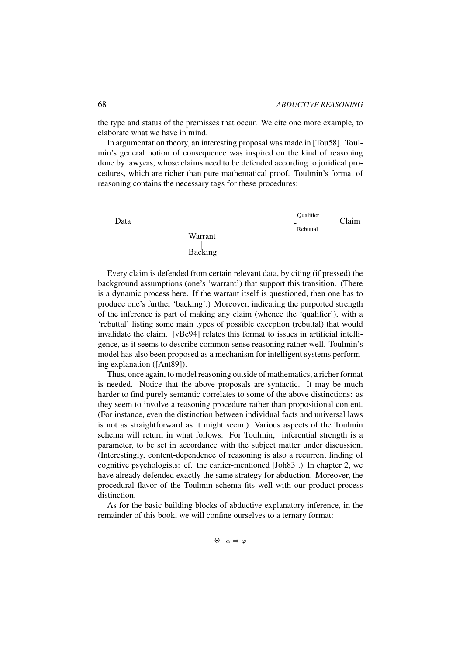the type and status of the premisses that occur. We cite one more example, to elaborate what we have in mind.

In argumentation theory, an interesting proposal was made in [Tou58]. Toulmin's general notion of consequence was inspired on the kind of reasoning done by lawyers, whose claims need to be defended according to juridical procedures, which are richer than pure mathematical proof. Toulmin's format of reasoning contains the necessary tags for these procedures:



Every claim is defended from certain relevant data, by citing (if pressed) the background assumptions (one's 'warrant') that support this transition. (There is a dynamic process here. If the warrant itself is questioned, then one has to produce one's further 'backing'.) Moreover, indicating the purported strength of the inference is part of making any claim (whence the 'qualifier'), with a 'rebuttal' listing some main types of possible exception (rebuttal) that would invalidate the claim. [vBe94] relates this format to issues in artificial intelligence, as it seems to describe common sense reasoning rather well. Toulmin's model has also been proposed as a mechanism for intelligent systems performing explanation ([Ant89]).

Thus, once again, to model reasoning outside of mathematics, a richer format is needed. Notice that the above proposals are syntactic. It may be much harder to find purely semantic correlates to some of the above distinctions: as they seem to involve a reasoning procedure rather than propositional content. (For instance, even the distinction between individual facts and universal laws is not as straightforward as it might seem.) Various aspects of the Toulmin schema will return in what follows. For Toulmin, inferential strength is a parameter, to be set in accordance with the subject matter under discussion. (Interestingly, content-dependence of reasoning is also a recurrent finding of cognitive psychologists: cf. the earlier-mentioned [Joh83].) In chapter 2, we have already defended exactly the same strategy for abduction. Moreover, the procedural flavor of the Toulmin schema fits well with our product-process distinction.

As for the basic building blocks of abductive explanatory inference, in the remainder of this book, we will confine ourselves to a ternary format:

 $\Theta \mid \alpha \Rightarrow \varphi$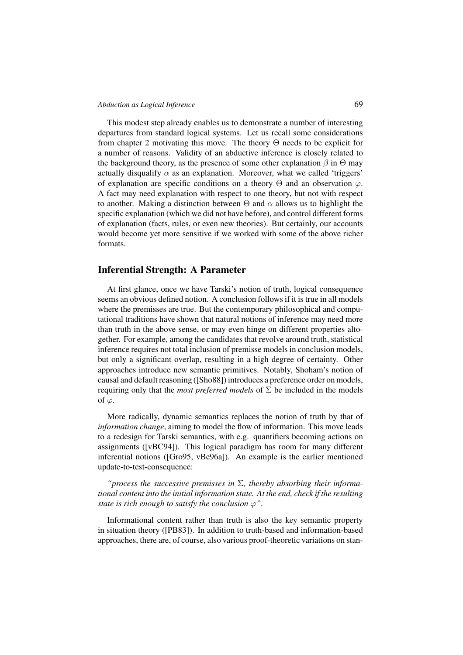This modest step already enables us to demonstrate a number of interesting departures from standard logical systems. Let us recall some considerations from chapter 2 motivating this move. The theory  $\Theta$  needs to be explicit for a number of reasons. Validity of an abductive inference is closely related to the background theory, as the presence of some other explanation  $\beta$  in  $\Theta$  may actually disqualify  $\alpha$  as an explanation. Moreover, what we called 'triggers' of explanation are specific conditions on a theory  $\Theta$  and an observation  $\varphi$ . A fact may need explanation with respect to one theory, but not with respect to another. Making a distinction between  $\Theta$  and  $\alpha$  allows us to highlight the specific explanation (which we did not have before), and control different forms of explanation (facts, rules, or even new theories). But certainly, our accounts would become yet more sensitive if we worked with some of the above richer formats.

# **Inferential Strength: A Parameter**

At first glance, once we have Tarski's notion of truth, logical consequence seems an obvious defined notion. A conclusion followsif it istrue in all models where the premisses are true. But the contemporary philosophical and computational traditions have shown that natural notions of inference may need more than truth in the above sense, or may even hinge on different properties altogether. For example, among the candidates that revolve around truth, statistical inference requires not total inclusion of premisse models in conclusion models, but only a significant overlap, resulting in a high degree of certainty. Other approaches introduce new semantic primitives. Notably, Shoham's notion of causal and default reasoning ([Sho88]) introduces a preference order on models, requiring only that the *most preferred models* of  $\Sigma$  be included in the models of  $\varphi$ .

More radically, dynamic semantics replaces the notion of truth by that of *information change*, aiming to model the flow of information. This move leads to a redesign for Tarski semantics, with e.g. quantifiers becoming actions on assignments ([vBC94]). This logical paradigm has room for many different inferential notions ([Gro95, vBe96a]). An example is the earlier mentioned update-to-test-consequence:

*"process the successive premisses in* Σ*, thereby absorbing their informational content into the initial information state. At the end, check if the resulting state is rich enough to satisfy the conclusion*  $\varphi$ ".

Informational content rather than truth is also the key semantic property in situation theory ([PB83]). In addition to truth-based and information-based approaches, there are, of course, also various proof-theoretic variations on stan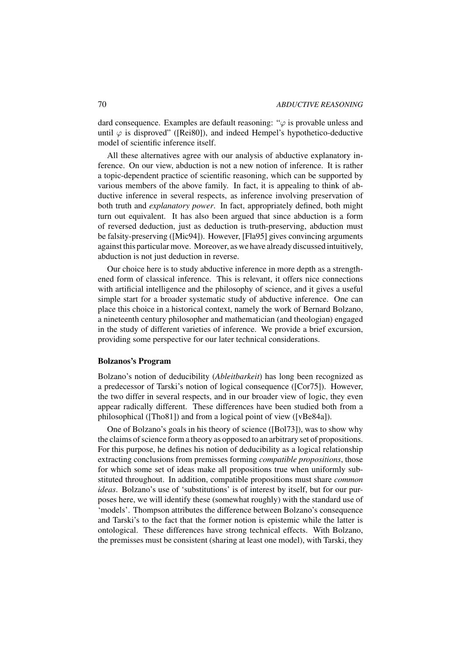dard consequence. Examples are default reasoning: " $\varphi$  is provable unless and until  $\varphi$  is disproved" ([Rei80]), and indeed Hempel's hypothetico-deductive model of scientific inference itself.

All these alternatives agree with our analysis of abductive explanatory inference. On our view, abduction is not a new notion of inference. It is rather a topic-dependent practice of scientific reasoning, which can be supported by various members of the above family. In fact, it is appealing to think of abductive inference in several respects, as inference involving preservation of both truth and *explanatory power*. In fact, appropriately defined, both might turn out equivalent. It has also been argued that since abduction is a form of reversed deduction, just as deduction is truth-preserving, abduction must be falsity-preserving ([Mic94]). However, [Fla95] gives convincing arguments against this particularmove. Moreover, as we have already discussed intuitively, abduction is not just deduction in reverse.

Our choice here is to study abductive inference in more depth as a strengthened form of classical inference. This is relevant, it offers nice connections with artificial intelligence and the philosophy of science, and it gives a useful simple start for a broader systematic study of abductive inference. One can place this choice in a historical context, namely the work of Bernard Bolzano, a nineteenth century philosopher and mathematician (and theologian) engaged in the study of different varieties of inference. We provide a brief excursion, providing some perspective for our later technical considerations.

#### **Bolzanos's Program**

Bolzano's notion of deducibility (*Ableitbarkeit*) has long been recognized as a predecessor of Tarski's notion of logical consequence ([Cor75]). However, the two differ in several respects, and in our broader view of logic, they even appear radically different. These differences have been studied both from a philosophical ([Tho81]) and from a logical point of view ([vBe84a]).

One of Bolzano's goals in his theory of science ([Bol73]), was to show why the claims of science form a theory as opposed to an arbitrary set of propositions. For this purpose, he defines his notion of deducibility as a logical relationship extracting conclusions from premisses forming *compatible propositions*, those for which some set of ideas make all propositions true when uniformly substituted throughout. In addition, compatible propositions must share *common ideas*. Bolzano's use of 'substitutions' is of interest by itself, but for our purposes here, we will identify these (somewhat roughly) with the standard use of 'models'. Thompson attributes the difference between Bolzano's consequence and Tarski's to the fact that the former notion is epistemic while the latter is ontological. These differences have strong technical effects. With Bolzano, the premisses must be consistent (sharing at least one model), with Tarski, they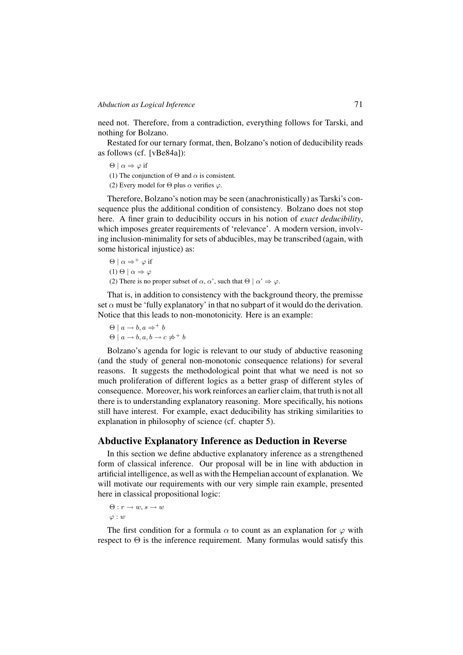need not. Therefore, from a contradiction, everything follows for Tarski, and nothing for Bolzano.

Restated for our ternary format, then, Bolzano's notion of deducibility reads as follows (cf. [vBe84a]):

 $\Theta \mid \alpha \Rightarrow \varphi$  if

(1) The conjunction of  $\Theta$  and  $\alpha$  is consistent.

(2) Every model for  $\Theta$  plus  $\alpha$  verifies  $\varphi$ .

Therefore, Bolzano's notion may be seen (anachronistically) as Tarski's consequence plus the additional condition of consistency. Bolzano does not stop here. A finer grain to deducibility occurs in his notion of *exact deducibility*, which imposes greater requirements of 'relevance'. A modern version, involving inclusion-minimality forsets of abducibles, may be transcribed (again, with some historical injustice) as:

 $\Theta \mid \alpha \Rightarrow^+ \varphi$  if (1)  $\Theta \mid \alpha \Rightarrow \varphi$ (2) There is no proper subset of  $\alpha$ ,  $\alpha'$ , such that  $\Theta | \alpha' \Rightarrow \varphi$ .

That is, in addition to consistency with the background theory, the premisse set  $\alpha$  must be 'fully explanatory' in that no subpart of it would do the derivation. Notice that this leads to non-monotonicity. Here is an example:

 $\Theta \mid a \rightarrow b, a \Rightarrow^+ b$  $\Theta \mid a \rightarrow b, a, b \rightarrow c \not\Rightarrow^+ b$ 

Bolzano's agenda for logic is relevant to our study of abductive reasoning (and the study of general non-monotonic consequence relations) for several reasons. It suggests the methodological point that what we need is not so much proliferation of different logics as a better grasp of different styles of consequence. Moreover, his work reinforces an earlier claim, that truth is not all there is to understanding explanatory reasoning. More specifically, his notions still have interest. For example, exact deducibility has striking similarities to explanation in philosophy of science (cf. chapter 5).

# **Abductive Explanatory Inference as Deduction in Reverse**

In this section we define abductive explanatory inference as a strengthened form of classical inference. Our proposal will be in line with abduction in artificial intelligence, as well as with the Hempelian account of explanation. We will motivate our requirements with our very simple rain example, presented here in classical propositional logic:

```
\Theta: r \to w, s \to w\varphi:w
```
The first condition for a formula  $\alpha$  to count as an explanation for  $\varphi$  with respect to  $\Theta$  is the inference requirement. Many formulas would satisfy this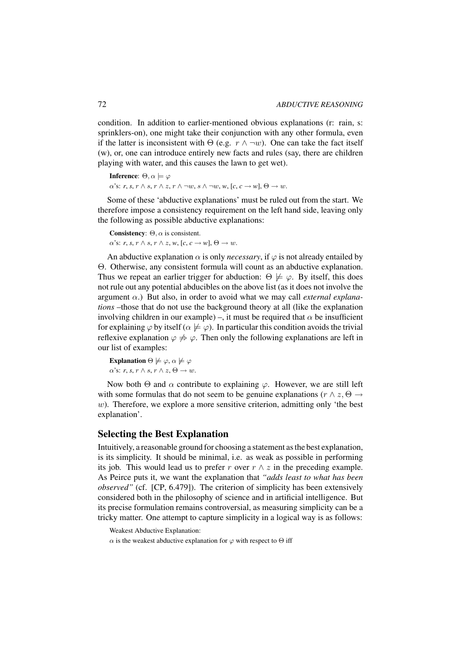condition. In addition to earlier-mentioned obvious explanations (r: rain, s: sprinklers-on), one might take their conjunction with any other formula, even if the latter is inconsistent with  $\Theta$  (e.g.  $r \wedge \neg w$ ). One can take the fact itself (w), or, one can introduce entirely new facts and rules (say, there are children playing with water, and this causes the lawn to get wet).

```
Inference: \Theta, \alpha \models \varphi\alpha's: r, s, r \land s, r \land z, r \land \neg w, s \land \neg w, w, [c, c \rightarrow w], \Theta \rightarrow w.
```
Some of these 'abductive explanations' must be ruled out from the start. We therefore impose a consistency requirement on the left hand side, leaving only the following as possible abductive explanations:

```
Consistency: \Theta, \alpha is consistent.
\alpha's: r, s, r \land s, r \land z, w, [c, c \rightarrow w], \Theta \rightarrow w.
```
An abductive explanation  $\alpha$  is only *necessary*, if  $\varphi$  is not already entailed by Θ. Otherwise, any consistent formula will count as an abductive explanation. Thus we repeat an earlier trigger for abduction:  $\Theta \not\models \varphi$ . By itself, this does not rule out any potential abducibles on the above list (as it does not involve the argument α.) But also, in order to avoid what we may call *external explanations* –those that do not use the background theory at all (like the explanation involving children in our example) –, it must be required that  $\alpha$  be insufficient for explaining  $\varphi$  by itself ( $\alpha \not\models \varphi$ ). In particular this condition avoids the trivial reflexive explanation  $\varphi \not\Rightarrow \varphi$ . Then only the following explanations are left in our list of examples:

**Explanation**  $\Theta \not\models \varphi, \alpha \not\models \varphi$  $\alpha$ 's: *r*, *s*, *r*  $\land$  *s*, *r*  $\land$  *z*,  $\Theta \rightarrow w$ .

Now both  $\Theta$  and  $\alpha$  contribute to explaining  $\varphi$ . However, we are still left with some formulas that do not seem to be genuine explanations ( $r \wedge z$ ,  $\Theta \rightarrow$  $w$ ). Therefore, we explore a more sensitive criterion, admitting only 'the best explanation'.

# **Selecting the Best Explanation**

Intuitively, a reasonable ground for choosing a statement asthe best explanation, is its simplicity. It should be minimal, i.e. as weak as possible in performing its job. This would lead us to prefer r over  $r \wedge z$  in the preceding example. As Peirce puts it, we want the explanation that *"adds least to what has been observed"* (cf. [CP, 6.479]). The criterion of simplicity has been extensively considered both in the philosophy of science and in artificial intelligence. But its precise formulation remains controversial, as measuring simplicity can be a tricky matter. One attempt to capture simplicity in a logical way is as follows:

```
Weakest Abductive Explanation:
```
 $\alpha$  is the weakest abductive explanation for  $\varphi$  with respect to  $\Theta$  iff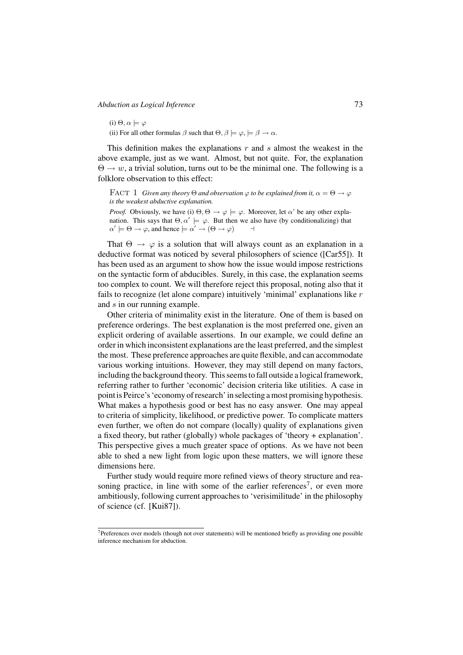### *Abduction as Logical Inference* 73

(i)  $\Theta$ ,  $\alpha \models \varphi$ 

(ii) For all other formulas  $\beta$  such that  $\Theta$ ,  $\beta \models \varphi$ ,  $\models \beta \rightarrow \alpha$ .

This definition makes the explanations  $r$  and  $s$  almost the weakest in the above example, just as we want. Almost, but not quite. For, the explanation  $\Theta \rightarrow w$ , a trivial solution, turns out to be the minimal one. The following is a folklore observation to this effect:

FACT 1 *Given any theory*  $\Theta$  *and observation*  $\varphi$  *to be explained from it,*  $\alpha = \Theta \rightarrow \varphi$ *is the weakest abductive explanation.*

*Proof.* Obviously, we have (i)  $\Theta$ ,  $\Theta \rightarrow \varphi \models \varphi$ . Moreover, let  $\alpha'$  be any other explanation. This says that  $\Theta, \alpha' \models \varphi$ . But then we also have (by conditionalizing) that  $\alpha' \models \Theta \rightarrow \varphi$ , and hence  $\models \alpha' \rightarrow (\Theta \rightarrow \varphi)$ 

That  $\Theta \rightarrow \varphi$  is a solution that will always count as an explanation in a deductive format was noticed by several philosophers of science ([Car55]). It has been used as an argument to show how the issue would impose restrictions on the syntactic form of abducibles. Surely, in this case, the explanation seems too complex to count. We will therefore reject this proposal, noting also that it fails to recognize (let alone compare) intuitively 'minimal' explanations like  $r$ and s in our running example.

Other criteria of minimality exist in the literature. One of them is based on preference orderings. The best explanation is the most preferred one, given an explicit ordering of available assertions. In our example, we could define an order in which inconsistent explanations are the least preferred, and the simplest the most. These preference approaches are quite flexible, and can accommodate various working intuitions. However, they may still depend on many factors, including the background theory. This seems to fall outside a logical framework, referring rather to further 'economic' decision criteria like utilities. A case in point is Peirce's 'economy of research' in selecting a most promising hypothesis. What makes a hypothesis good or best has no easy answer. One may appeal to criteria of simplicity, likelihood, or predictive power. To complicate matters even further, we often do not compare (locally) quality of explanations given a fixed theory, but rather (globally) whole packages of 'theory + explanation'. This perspective gives a much greater space of options. As we have not been able to shed a new light from logic upon these matters, we will ignore these dimensions here.

Further study would require more refined views of theory structure and reasoning practice, in line with some of the earlier references<sup>7</sup>, or even more ambitiously, following current approaches to 'verisimilitude' in the philosophy of science (cf. [Kui87]).

<sup>7</sup>Preferences over models (though not over statements) will be mentioned briefly as providing one possible inference mechanism for abduction.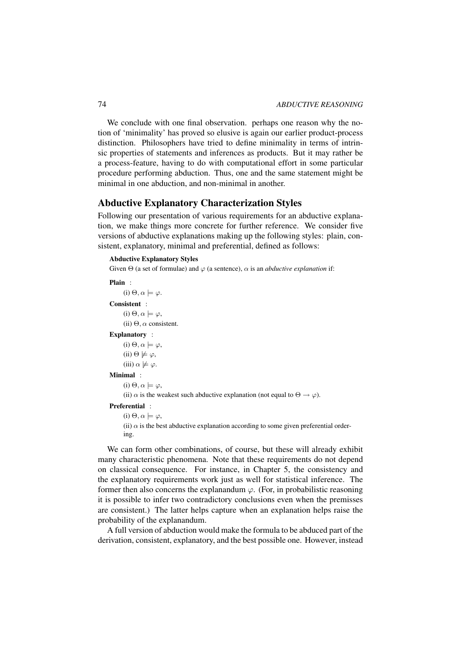We conclude with one final observation. perhaps one reason why the notion of 'minimality' has proved so elusive is again our earlier product-process distinction. Philosophers have tried to define minimality in terms of intrinsic properties of statements and inferences as products. But it may rather be a process-feature, having to do with computational effort in some particular procedure performing abduction. Thus, one and the same statement might be minimal in one abduction, and non-minimal in another.

# **Abductive Explanatory Characterization Styles**

Following our presentation of various requirements for an abductive explanation, we make things more concrete for further reference. We consider five versions of abductive explanations making up the following styles: plain, consistent, explanatory, minimal and preferential, defined as follows:

#### **Abductive Explanatory Styles**

Given  $\Theta$  (a set of formulae) and  $\varphi$  (a sentence),  $\alpha$  is an *abductive explanation* if:

#### **Plain** : (i)  $\Theta$ ,  $\alpha \models \varphi$ .

**Consistent** : (i)  $\Theta$ ,  $\alpha \models \varphi$ ,

(ii)  $\Theta$ ,  $\alpha$  consistent.

**Explanatory** :

### (i)  $\Theta$ ,  $\alpha \models \varphi$ , (ii)  $\Theta \not\models \varphi$ , (iii)  $\alpha \not\models \varphi$ .

#### **Minimal** :

```
(i) \Theta, \alpha \models \varphi,
```
(ii)  $\alpha$  is the weakest such abductive explanation (not equal to  $\Theta \rightarrow \varphi$ ).

#### **Preferential** :

```
(i) \Theta, \alpha \models \varphi,
(ii) \alpha is the best abductive explanation according to some given preferential order-
ing.
```
We can form other combinations, of course, but these will already exhibit many characteristic phenomena. Note that these requirements do not depend on classical consequence. For instance, in Chapter 5, the consistency and the explanatory requirements work just as well for statistical inference. The former then also concerns the explanandum  $\varphi$ . (For, in probabilistic reasoning it is possible to infer two contradictory conclusions even when the premisses are consistent.) The latter helps capture when an explanation helps raise the probability of the explanandum.

A full version of abduction would make the formula to be abduced part of the derivation, consistent, explanatory, and the best possible one. However, instead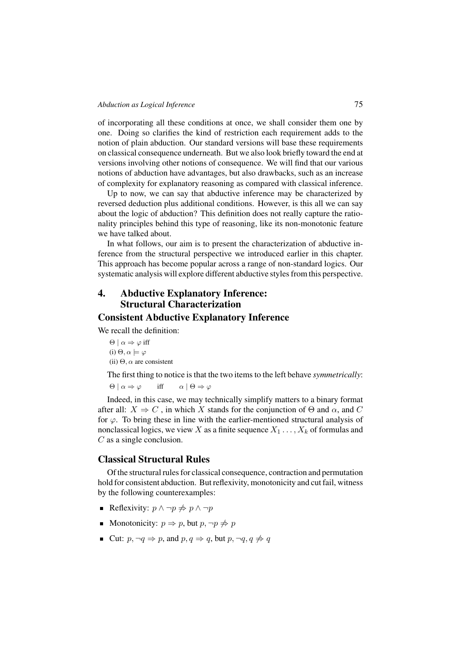of incorporating all these conditions at once, we shall consider them one by one. Doing so clarifies the kind of restriction each requirement adds to the notion of plain abduction. Our standard versions will base these requirements on classical consequence underneath. But we also look briefly toward the end at versions involving other notions of consequence. We will find that our various notions of abduction have advantages, but also drawbacks, such as an increase of complexity for explanatory reasoning as compared with classical inference.

Up to now, we can say that abductive inference may be characterized by reversed deduction plus additional conditions. However, is this all we can say about the logic of abduction? This definition does not really capture the rationality principles behind this type of reasoning, like its non-monotonic feature we have talked about.

In what follows, our aim is to present the characterization of abductive inference from the structural perspective we introduced earlier in this chapter. This approach has become popular across a range of non-standard logics. Our systematic analysis will explore different abductive styles from this perspective.

# **4. Abductive Explanatory Inference: Structural Characterization**

# **Consistent Abductive Explanatory Inference**

We recall the definition:

 $\Theta \mid \alpha \Rightarrow \varphi$  iff (i)  $\Theta$ ,  $\alpha \models \varphi$ (ii)  $\Theta$ ,  $\alpha$  are consistent

The first thing to notice is that the two items to the left behave *symmetrically*:

 $\Theta \mid \alpha \Rightarrow \varphi$  iff  $\alpha \mid \Theta \Rightarrow \varphi$ 

Indeed, in this case, we may technically simplify matters to a binary format after all:  $X \Rightarrow C$ , in which X stands for the conjunction of  $\Theta$  and  $\alpha$ , and C for  $\varphi$ . To bring these in line with the earlier-mentioned structural analysis of nonclassical logics, we view X as a finite sequence  $X_1 \ldots, X_k$  of formulas and C as a single conclusion.

# **Classical Structural Rules**

Of the structural rules for classical consequence, contraction and permutation hold for consistent abduction. But reflexivity, monotonicity and cut fail, witness by the following counterexamples:

- Reflexivity:  $p \land \neg p \nRightarrow p \land \neg p$
- Monotonicity:  $p \Rightarrow p$ , but  $p, \neg p \not\Rightarrow p$
- Cut:  $p, \neg q \Rightarrow p$ , and  $p, q \Rightarrow q$ , but  $p, \neg q, q \not\Rightarrow q$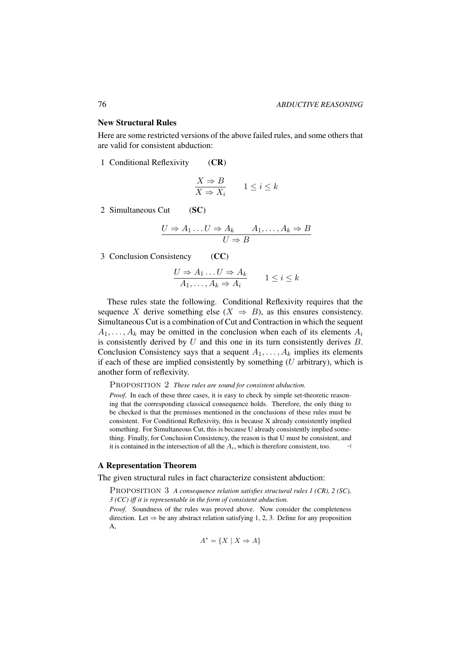#### **New Structural Rules**

Here are some restricted versions of the above failed rules, and some others that are valid for consistent abduction:

1 Conditional Reflexivity (**CR**)

$$
\frac{X \Rightarrow B}{X \Rightarrow X_i} \qquad 1 \le i \le k
$$

2 Simultaneous Cut (**SC**)

$$
\frac{U \Rightarrow A_1 \dots U \Rightarrow A_k \qquad A_1, \dots, A_k \Rightarrow B}{U \Rightarrow B}
$$

3 Conclusion Consistency (**CC**)

$$
\frac{U \Rightarrow A_1 \dots U \Rightarrow A_k}{A_1, \dots, A_k \Rightarrow A_i} \qquad 1 \le i \le k
$$

These rules state the following. Conditional Reflexivity requires that the sequence X derive something else ( $X \Rightarrow B$ ), as this ensures consistency. Simultaneous Cut is a combination of Cut and Contraction in which the sequent  $A_1, \ldots, A_k$  may be omitted in the conclusion when each of its elements  $A_i$ is consistently derived by  $U$  and this one in its turn consistently derives  $B$ . Conclusion Consistency says that a sequent  $A_1, \ldots, A_k$  implies its elements if each of these are implied consistently by something  $(U$  arbitrary), which is another form of reflexivity.

Proposition 2 *These rules are sound for consistent abduction.*

*Proof*. In each of these three cases, it is easy to check by simple set-theoretic reasoning that the corresponding classical consequence holds. Therefore, the only thing to be checked is that the premisses mentioned in the conclusions of these rules must be consistent. For Conditional Reflexivity, this is because X already consistently implied something. For Simultaneous Cut, this is because U already consistently implied something. Finally, for Conclusion Consistency, the reason is that U must be consistent, and it is contained in the intersection of all the  $A_i$ , which is therefore consistent, too.  $\Box$ 

#### **A Representation Theorem**

The given structural rules in fact characterize consistent abduction:

Proposition 3 *A consequence relation satisfies structural rules 1 (CR), 2 (SC), 3 (CC) iff it is representable in the form of consistent abduction.*

*Proof*. Soundness of the rules was proved above. Now consider the completeness direction. Let  $\Rightarrow$  be any abstract relation satisfying 1, 2, 3. Define for any proposition A,

$$
A^* = \{ X \mid X \Rightarrow A \}
$$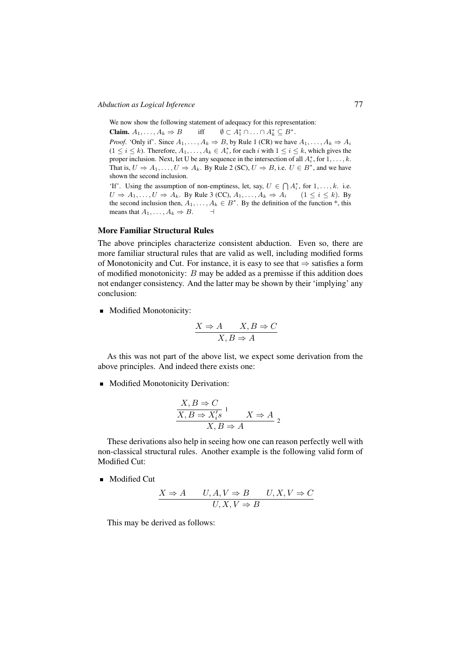We now show the following statement of adequacy for this representation:

**Claim.**  $A_1, \ldots, A_k \Rightarrow B$  iff  $i_1^* \cap \ldots \cap A_k^* \subseteq B^*.$ *Proof.* 'Only if'. Since  $A_1, \ldots, A_k \Rightarrow B$ , by Rule 1 (CR) we have  $A_1, \ldots, A_k \Rightarrow A_i$  $(1 \le i \le k)$ . Therefore,  $A_1, \ldots, A_k \in A_i^*$ , for each i with  $1 \le i \le k$ , which gives the proper inclusion. Next, let U be any sequence in the intersection of all  $A_i^*$ , for  $1, \ldots, k$ . That is,  $U \Rightarrow A_1, \ldots, U \Rightarrow A_k$ . By Rule 2 (SC),  $U \Rightarrow B$ , i.e.  $U \in B^*$ , and we have shown the second inclusion.

'If'. Using the assumption of non-emptiness, let, say,  $U \in \bigcap A_i^*$ , for  $1, \ldots, k$ . i.e.  $U \Rightarrow A_1, \ldots, U \Rightarrow A_k$ . By Rule 3 (CC),  $A_1, \ldots, A_k \Rightarrow A_i$  (1  $\leq i \leq k$ ). By the second inclusion then,  $A_1, \ldots, A_k \in B^*$ . By the definition of the function \*, this means that  $A_1 \rightarrow B_1 \rightarrow$ means that  $A_1, \ldots, A_k \Rightarrow B$ .

#### **More Familiar Structural Rules**

The above principles characterize consistent abduction. Even so, there are more familiar structural rules that are valid as well, including modified forms of Monotonicity and Cut. For instance, it is easy to see that  $\Rightarrow$  satisfies a form of modified monotonicity: B may be added as a premisse if this addition does not endanger consistency. And the latter may be shown by their 'implying' any conclusion:

 $\blacksquare$  Modified Monotonicity:

$$
\frac{X \Rightarrow A \qquad X, B \Rightarrow C}{X, B \Rightarrow A}
$$

As this was not part of the above list, we expect some derivation from the above principles. And indeed there exists one:

**Modified Monotonicity Derivation:** 

$$
\frac{X, B \Rightarrow C}{X, B \Rightarrow X'_i s} \xrightarrow{1} X \Rightarrow A
$$
  

$$
X, B \Rightarrow A
$$

These derivations also help in seeing how one can reason perfectly well with non-classical structural rules. Another example is the following valid form of Modified Cut:

**Modified Cut** 

$$
\frac{X \Rightarrow A \qquad U, A, V \Rightarrow B \qquad U, X, V \Rightarrow C}{U, X, V \Rightarrow B}
$$

This may be derived as follows: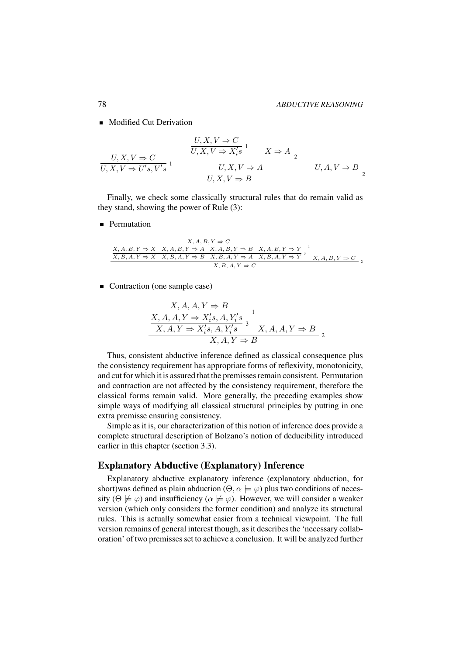■ Modified Cut Derivation

$$
\underbrace{\frac{U, X, V \Rightarrow C}{U, X, V \Rightarrow U's, V's}}_{U, X, V \Rightarrow U's, V's} \quad \frac{\frac{U, X, V \Rightarrow C}{U, X, V \Rightarrow X'_{i}s}}_{U, X, V \Rightarrow A} \quad \frac{X \Rightarrow A}{U, X, V \Rightarrow B} \quad \frac{U, A, V \Rightarrow B}{U, X, V \Rightarrow B}
$$

they stand, showing the power of Rule (3): Finally, we check some classically structural rules that do remain valid as

**Permutation** 

$$
\frac{X, A, B, Y \Rightarrow C}{X, A, B, Y \Rightarrow X \quad X, A, B, Y \Rightarrow A \quad X, A, B, Y \Rightarrow B \quad X, A, B, Y \Rightarrow Y} \cdot \frac{X, A, B, Y \Rightarrow A \quad X, A, B, Y \Rightarrow B \quad X, A, B, Y \Rightarrow Y} \cdot \frac{X, B, A, Y \Rightarrow X \quad X, B, A, Y \Rightarrow B \quad X, B, A, Y \Rightarrow A \quad X, B, A, Y \Rightarrow Y} \cdot \frac{X, A, B, Y \Rightarrow C}{X, B, A, Y \Rightarrow C} \cdot \frac{X, B, Y \Rightarrow Y} \cdot \frac{X, B, Y \Rightarrow Y}{X, B, A, Y \Rightarrow C} \cdot \frac{X, B, Y \Rightarrow Y} \cdot \frac{X, B, Y \Rightarrow Y}{X, B, A, Y \Rightarrow C} \cdot \frac{X, B, Y \Rightarrow Y}{X, B, A, Y \Rightarrow C} \cdot \frac{X, B, Y \Rightarrow Y}{X, B, A, Y \Rightarrow C} \cdot \frac{X, B, Y \Rightarrow Y}{X, B, A, Y \Rightarrow C} \cdot \frac{X, B, Y \Rightarrow Y}{X, B, Y \Rightarrow Y} \cdot \frac{X, B, Y \Rightarrow Y}{X, B, Y \Rightarrow Y} \cdot \frac{X, B, Y \Rightarrow Y}{X, B, Y \Rightarrow Y} \cdot \frac{X, B, Y \Rightarrow Y}{X, B, Y \Rightarrow Y} \cdot \frac{X, B, Y \Rightarrow Y}{X, Y \Rightarrow Y} \cdot \frac{X, B, Y \Rightarrow Y}{X, Y \Rightarrow Y} \cdot \frac{X, B, Y \Rightarrow Y}{X, Y \Rightarrow Y} \cdot \frac{X, B, Y \Rightarrow Y}{X, Y \Rightarrow Y} \cdot \frac{X, B, Y \Rightarrow Y}{X, Y \Rightarrow Y} \cdot \frac{X, B, Y \Rightarrow Y}{X, Y \Rightarrow Y} \cdot \frac{X, B, Y \Rightarrow Y}{X, Y \Rightarrow Y} \cdot \frac{X, B, Y \Rightarrow Y}{X, Y \Rightarrow Y} \cdot \frac{X, B, Y \Rightarrow Y}{X, Y \Rightarrow Y} \cdot \frac{X, B, Y \Rightarrow Y}{X, Y \Rightarrow Y} \cdot \frac{X, B, Y \Rightarrow Y}{X, Y \Rightarrow Y} \cdot \frac{X, Y \Rightarrow Y}{X, Y \Rightarrow Y} \cdot \frac{X, Y \Rightarrow Y}{X, Y \Rightarrow Y} \cdot \frac{X, Y \Rightarrow Y}{X, Y \Rightarrow Y} \cdot \frac{X, Y \Rightarrow Y}{X, Y \Rightarrow Y} \cdot \frac{X, Y \Rightarrow Y}{X, Y \Rightarrow Y} \cdot \frac{X, Y \
$$

■ Contraction (one sample case)

$$
\frac{X, A, A, Y \Rightarrow B}{X, A, A, Y \Rightarrow X'_i s, A, Y'_i s}
$$

$$
\frac{X, A, Y \Rightarrow X'_i s, A, Y'_i s}{X, A, Y \Rightarrow B}
$$

$$
X, A, Y \Rightarrow B
$$

Thus, consistent abductive inference defined as classical consequence plus the consistency requirement has appropriate forms of reflexivity, monotonicity, and cut for which it is assured that the premisses remain consistent. Permutation and contraction are not affected by the consistency requirement, therefore the classical forms remain valid. More generally, the preceding examples show simple ways of modifying all classical structural principles by putting in one extra premisse ensuring consistency.

Simple as it is, our characterization of this notion of inference does provide a complete structural description of Bolzano's notion of deducibility introduced earlier in this chapter (section 3.3).

# **Explanatory Abductive (Explanatory) Inference**

Explanatory abductive explanatory inference (explanatory abduction, for short)was defined as plain abduction ( $\Theta$ ,  $\alpha \models \varphi$ ) plus two conditions of necessity ( $\Theta \not\models \varphi$ ) and insufficiency ( $\alpha \not\models \varphi$ ). However, we will consider a weaker version (which only considers the former condition) and analyze its structural rules. This is actually somewhat easier from a technical viewpoint. The full version remains of general interest though, as it describes the 'necessary collaboration' of two premisses set to achieve a conclusion. It will be analyzed further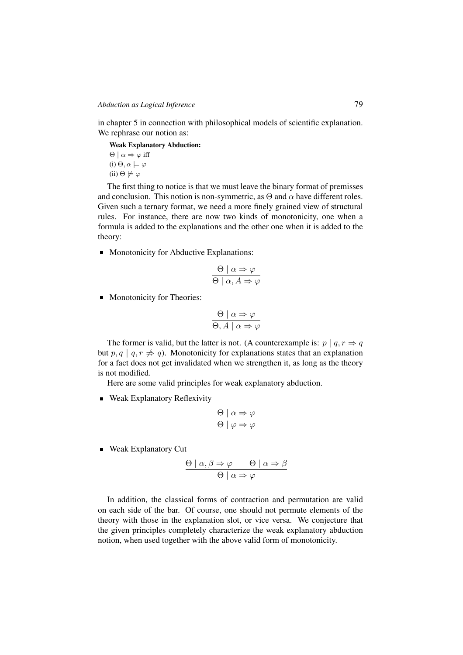in chapter 5 in connection with philosophical models of scientific explanation. We rephrase our notion as:

**Weak Explanatory Abduction:**  $\Theta \mid \alpha \Rightarrow \varphi$  iff (i)  $\Theta$ ,  $\alpha \models \varphi$ (ii)  $\Theta \not\models \varphi$ 

The first thing to notice is that we must leave the binary format of premisses and conclusion. This notion is non-symmetric, as  $\Theta$  and  $\alpha$  have different roles. Given such a ternary format, we need a more finely grained view of structural rules. For instance, there are now two kinds of monotonicity, one when a formula is added to the explanations and the other one when it is added to the theory:

**Monotonicity for Abductive Explanations:** 

$$
\frac{\Theta \mid \alpha \Rightarrow \varphi}{\Theta \mid \alpha, A \Rightarrow \varphi}
$$

**Monotonicity for Theories:** 

$$
\frac{\Theta \mid \alpha \Rightarrow \varphi}{\Theta, A \mid \alpha \Rightarrow \varphi}
$$

The former is valid, but the latter is not. (A counterexample is:  $p | q, r \Rightarrow q$ but  $p, q | q, r \neq q$ ). Monotonicity for explanations states that an explanation for a fact does not get invalidated when we strengthen it, as long as the theory is not modified.

Here are some valid principles for weak explanatory abduction.

■ Weak Explanatory Reflexivity

$$
\frac{\Theta \mid \alpha \Rightarrow \varphi}{\Theta \mid \varphi \Rightarrow \varphi}
$$

■ Weak Explanatory Cut

$$
\frac{\Theta \mid \alpha, \beta \Rightarrow \varphi \qquad \Theta \mid \alpha \Rightarrow \beta}{\Theta \mid \alpha \Rightarrow \varphi}
$$

In addition, the classical forms of contraction and permutation are valid on each side of the bar. Of course, one should not permute elements of the theory with those in the explanation slot, or vice versa. We conjecture that the given principles completely characterize the weak explanatory abduction notion, when used together with the above valid form of monotonicity.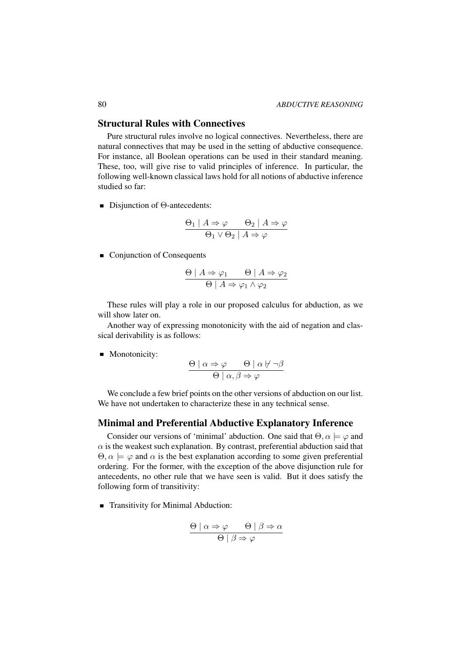# **Structural Rules with Connectives**

Pure structural rules involve no logical connectives. Nevertheless, there are natural connectives that may be used in the setting of abductive consequence. For instance, all Boolean operations can be used in their standard meaning. These, too, will give rise to valid principles of inference. In particular, the following well-known classical laws hold for all notions of abductive inference studied so far:

Disjunction of  $\Theta$ -antecedents:

$$
\frac{\Theta_1 \mid A \Rightarrow \varphi \qquad \Theta_2 \mid A \Rightarrow \varphi}{\Theta_1 \vee \Theta_2 \mid A \Rightarrow \varphi}
$$

■ Conjunction of Consequents

$$
\frac{\Theta \mid A \Rightarrow \varphi_1 \qquad \Theta \mid A \Rightarrow \varphi_2}{\Theta \mid A \Rightarrow \varphi_1 \land \varphi_2}
$$

These rules will play a role in our proposed calculus for abduction, as we will show later on.

Another way of expressing monotonicity with the aid of negation and classical derivability is as follows:

**Monotonicity:** 

$$
\frac{\Theta \mid \alpha \Rightarrow \varphi \qquad \Theta \mid \alpha \not\vdash \neg \beta}{\Theta \mid \alpha, \beta \Rightarrow \varphi}
$$

We conclude a few brief points on the other versions of abduction on our list. We have not undertaken to characterize these in any technical sense.

## **Minimal and Preferential Abductive Explanatory Inference**

Consider our versions of 'minimal' abduction. One said that  $\Theta$ ,  $\alpha \models \varphi$  and  $\alpha$  is the weakest such explanation. By contrast, preferential abduction said that  $\Theta$ ,  $\alpha \models \varphi$  and  $\alpha$  is the best explanation according to some given preferential ordering. For the former, with the exception of the above disjunction rule for antecedents, no other rule that we have seen is valid. But it does satisfy the following form of transitivity:

■ Transitivity for Minimal Abduction:

$$
\frac{\Theta \mid \alpha \Rightarrow \varphi \qquad \Theta \mid \beta \Rightarrow \alpha}{\Theta \mid \beta \Rightarrow \varphi}
$$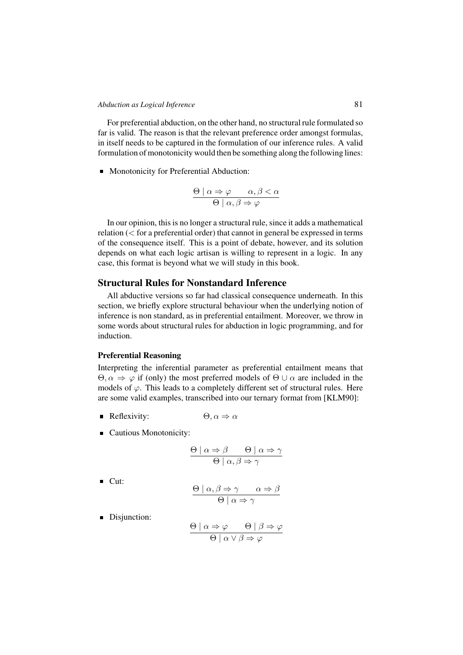For preferential abduction, on the other hand, no structural rule formulated so far is valid. The reason is that the relevant preference order amongst formulas, in itself needs to be captured in the formulation of our inference rules. A valid formulation of monotonicity would then be something along the following lines:

**Monotonicity for Preferential Abduction:** 

$$
\frac{\Theta \mid \alpha \Rightarrow \varphi \qquad \alpha, \beta < \alpha}{\Theta \mid \alpha, \beta \Rightarrow \varphi}
$$

In our opinion, this is no longer a structural rule, since it adds a mathematical relation (< for a preferential order) that cannot in general be expressed in terms of the consequence itself. This is a point of debate, however, and its solution depends on what each logic artisan is willing to represent in a logic. In any case, this format is beyond what we will study in this book.

# **Structural Rules for Nonstandard Inference**

All abductive versions so far had classical consequence underneath. In this section, we briefly explore structural behaviour when the underlying notion of inference is non standard, as in preferential entailment. Moreover, we throw in some words about structural rules for abduction in logic programming, and for induction.

#### **Preferential Reasoning**

Interpreting the inferential parameter as preferential entailment means that  $\Theta, \alpha \Rightarrow \varphi$  if (only) the most preferred models of  $\Theta \cup \alpha$  are included in the models of  $\varphi$ . This leads to a completely different set of structural rules. Here are some valid examples, transcribed into our ternary format from [KLM90]:

- Reflexivity:  $\Theta, \alpha \Rightarrow \alpha$
- Cautious Monotonicity:

$$
\frac{\Theta \mid \alpha \Rightarrow \beta \qquad \Theta \mid \alpha \Rightarrow \gamma}{\Theta \mid \alpha, \beta \Rightarrow \gamma}
$$

Cut:

$$
\frac{\Theta \mid \alpha, \beta \Rightarrow \gamma \qquad \alpha \Rightarrow \beta}{\Theta \mid \alpha \Rightarrow \gamma}
$$

Disjunction:

$$
\frac{\Theta \mid \alpha \Rightarrow \varphi \qquad \Theta \mid \beta \Rightarrow \varphi}{\Theta \mid \alpha \vee \beta \Rightarrow \varphi}
$$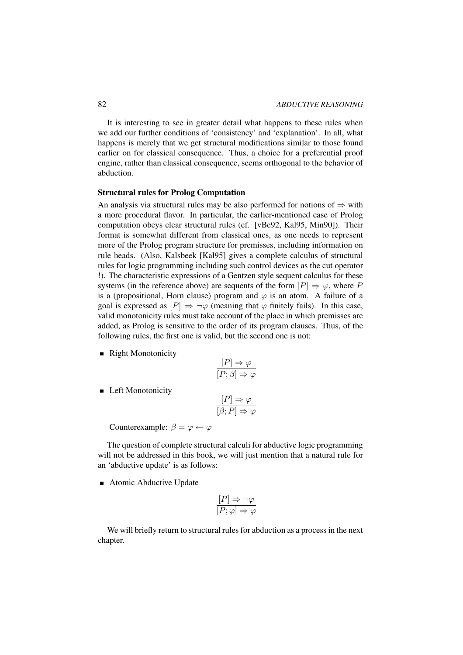It is interesting to see in greater detail what happens to these rules when we add our further conditions of 'consistency' and 'explanation'. In all, what happens is merely that we get structural modifications similar to those found earlier on for classical consequence. Thus, a choice for a preferential proof engine, rather than classical consequence, seems orthogonal to the behavior of abduction.

#### **Structural rules for Prolog Computation**

An analysis via structural rules may be also performed for notions of  $\Rightarrow$  with a more procedural flavor. In particular, the earlier-mentioned case of Prolog computation obeys clear structural rules (cf. [vBe92, Kal95, Min90]). Their format is somewhat different from classical ones, as one needs to represent more of the Prolog program structure for premisses, including information on rule heads. (Also, Kalsbeek [Kal95] gives a complete calculus of structural rules for logic programming including such control devices as the cut operator !). The characteristic expressions of a Gentzen style sequent calculus for these systems (in the reference above) are sequents of the form  $[P] \Rightarrow \varphi$ , where P is a (propositional, Horn clause) program and  $\varphi$  is an atom. A failure of a goal is expressed as  $[P] \Rightarrow \neg \varphi$  (meaning that  $\varphi$  finitely fails). In this case, valid monotonicity rules must take account of the place in which premisses are added, as Prolog is sensitive to the order of its program clauses. Thus, of the following rules, the first one is valid, but the second one is not:

■ Right Monotonicity

$$
\frac{[P] \Rightarrow \varphi}{[P;\beta] \Rightarrow \varphi}
$$

**Left Monotonicity** 

$$
\frac{[P] \Rightarrow \varphi}{[\beta; P] \Rightarrow \varphi}
$$

Counterexample:  $\beta = \varphi \leftarrow \varphi$ 

The question of complete structural calculi for abductive logic programming will not be addressed in this book, we will just mention that a natural rule for an 'abductive update' is as follows:

■ Atomic Abductive Update

$$
\frac{[P] \Rightarrow \neg \varphi}{[P; \varphi] \Rightarrow \varphi}
$$

We will briefly return to structural rules for abduction as a process in the next chapter.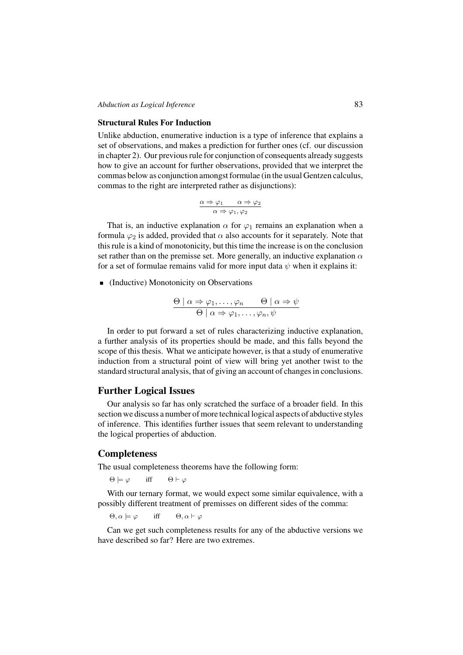### **Structural Rules For Induction**

Unlike abduction, enumerative induction is a type of inference that explains a set of observations, and makes a prediction for further ones (cf. our discussion in chapter 2). Our previous rule for conjunction of consequents already suggests how to give an account for further observations, provided that we interpret the commas below as conjunction amongst formulae (in the usual Gentzen calculus, commas to the right are interpreted rather as disjunctions):

$$
\frac{\alpha\Rightarrow \varphi_1\qquad \alpha\Rightarrow \varphi_2}{\alpha\Rightarrow \varphi_1,\varphi_2}
$$

That is, an inductive explanation  $\alpha$  for  $\varphi_1$  remains an explanation when a formula  $\varphi_2$  is added, provided that  $\alpha$  also accounts for it separately. Note that this rule is a kind of monotonicity, but this time the increase is on the conclusion set rather than on the premisse set. More generally, an inductive explanation  $\alpha$ for a set of formulae remains valid for more input data  $\psi$  when it explains it:

(Inductive) Monotonicity on Observations

$$
\frac{\Theta \mid \alpha \Rightarrow \varphi_1, \dots, \varphi_n \qquad \Theta \mid \alpha \Rightarrow \psi}{\Theta \mid \alpha \Rightarrow \varphi_1, \dots, \varphi_n, \psi}
$$

In order to put forward a set of rules characterizing inductive explanation, a further analysis of its properties should be made, and this falls beyond the scope of this thesis. What we anticipate however, is that a study of enumerative induction from a structural point of view will bring yet another twist to the standard structural analysis, that of giving an account of changes in conclusions.

# **Further Logical Issues**

Our analysis so far has only scratched the surface of a broader field. In this section we discuss a number of more technical logical aspects of abductive styles of inference. This identifies further issues that seem relevant to understanding the logical properties of abduction.

# **Completeness**

The usual completeness theorems have the following form:

$$
\Theta \models \varphi \quad \text{iff} \quad \Theta \vdash \varphi
$$

With our ternary format, we would expect some similar equivalence, with a possibly different treatment of premisses on different sides of the comma:

 $\Theta$ ,  $\alpha \models \varphi$  iff  $\Theta$ ,  $\alpha \vdash \varphi$ 

Can we get such completeness results for any of the abductive versions we have described so far? Here are two extremes.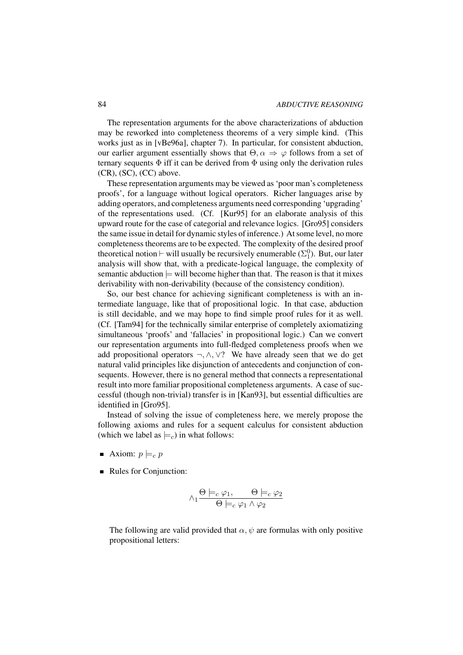The representation arguments for the above characterizations of abduction may be reworked into completeness theorems of a very simple kind. (This works just as in [vBe96a], chapter 7). In particular, for consistent abduction, our earlier argument essentially shows that  $\Theta$ ,  $\alpha \Rightarrow \varphi$  follows from a set of ternary sequents  $\Phi$  iff it can be derived from  $\Phi$  using only the derivation rules  $(CR)$ ,  $(SC)$ ,  $(CC)$  above.

These representation arguments may be viewed as'poor man's completeness proofs', for a language without logical operators. Richer languages arise by adding operators, and completeness arguments need corresponding 'upgrading' of the representations used. (Cf. [Kur95] for an elaborate analysis of this upward route for the case of categorial and relevance logics. [Gro95] considers the same issue in detail for dynamic styles of inference.) Atsome level, no more completeness theorems are to be expected. The complexity of the desired proof theoretical notion  $\vdash$  will usually be recursively enumerable ( $\Sigma_1^0$ ). But, our later analysis will show that, with a predicate-logical language, the complexity of semantic abduction  $\models$  will become higher than that. The reason is that it mixes derivability with non-derivability (because of the consistency condition).

So, our best chance for achieving significant completeness is with an intermediate language, like that of propositional logic. In that case, abduction is still decidable, and we may hope to find simple proof rules for it as well. (Cf. [Tam94] for the technically similar enterprise of completely axiomatizing simultaneous 'proofs' and 'fallacies' in propositional logic.) Can we convert our representation arguments into full-fledged completeness proofs when we add propositional operators  $\neg, \wedge, \vee$ ? We have already seen that we do get natural valid principles like disjunction of antecedents and conjunction of consequents. However, there is no general method that connects a representational result into more familiar propositional completeness arguments. A case of successful (though non-trivial) transfer is in [Kan93], but essential difficulties are identified in [Gro95].

Instead of solving the issue of completeness here, we merely propose the following axioms and rules for a sequent calculus for consistent abduction (which we label as  $\models_c$ ) in what follows:

- Axiom:  $p \models_c p$
- Rules for Conjunction:

$$
\wedge_1 \frac{\Theta \models_c \varphi_1, \qquad \Theta \models_c \varphi_2}{\Theta \models_c \varphi_1 \wedge \varphi_2}
$$

The following are valid provided that  $\alpha$ ,  $\psi$  are formulas with only positive propositional letters: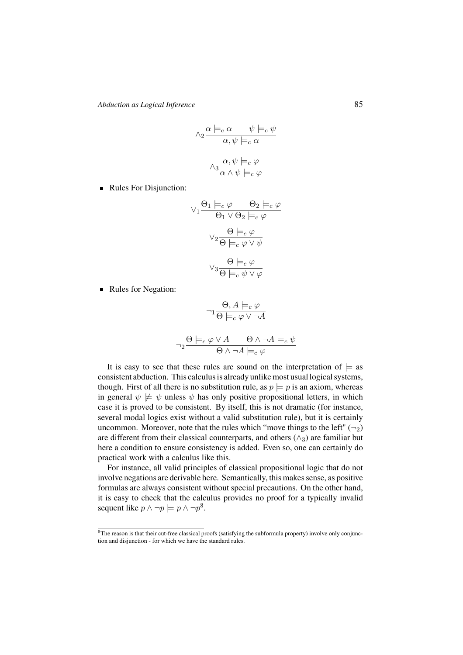*Abduction as Logical Inference* 85

$$
\wedge_2 \frac{\alpha \models_c \alpha \qquad \psi \models_c \psi}{\alpha, \psi \models_c \alpha}
$$

$$
\wedge_3 \frac{\alpha, \psi \models_c \varphi}{\alpha \wedge \psi \models_c \varphi}
$$

Rules For Disjunction:

$$
\begin{array}{r}\n\vee_1 \frac{\Theta_1 \models_c \varphi \qquad \Theta_2 \models_c \varphi}{\Theta_1 \vee \Theta_2 \models_c \varphi} \\
\vee_2 \frac{\Theta \models_c \varphi}{\Theta \models_c \varphi \vee \psi} \\
\vee_3 \frac{\Theta \models_c \varphi}{\Theta \models_c \psi \vee \varphi}\n\end{array}
$$

Rules for Negation:

$$
\neg_1 \frac{\Theta, A \models_c \varphi}{\Theta \models_c \varphi \lor \neg A}
$$

$$
\neg_2 \frac{\Theta \models_c \varphi \lor A \qquad \Theta \land \neg A \models_c \psi}{\Theta \land \neg A \models_c \varphi}
$$

It is easy to see that these rules are sound on the interpretation of  $\models$  as consistent abduction. This calculus is already unlike most usual logical systems, though. First of all there is no substitution rule, as  $p \models p$  is an axiom, whereas in general  $\psi \not\models \psi$  unless  $\psi$  has only positive propositional letters, in which case it is proved to be consistent. By itself, this is not dramatic (for instance, several modal logics exist without a valid substitution rule), but it is certainly uncommon. Moreover, note that the rules which "move things to the left"  $(\neg_2)$ are different from their classical counterparts, and others  $(\wedge_3)$  are familiar but here a condition to ensure consistency is added. Even so, one can certainly do practical work with a calculus like this.

For instance, all valid principles of classical propositional logic that do not involve negations are derivable here. Semantically, this makes sense, as positive formulas are always consistent without special precautions. On the other hand, it is easy to check that the calculus provides no proof for a typically invalid sequent like  $p \land \neg p \models p \land \neg p^8$ .

<sup>&</sup>lt;sup>8</sup>The reason is that their cut-free classical proofs (satisfying the subformula property) involve only conjunction and disjunction - for which we have the standard rules.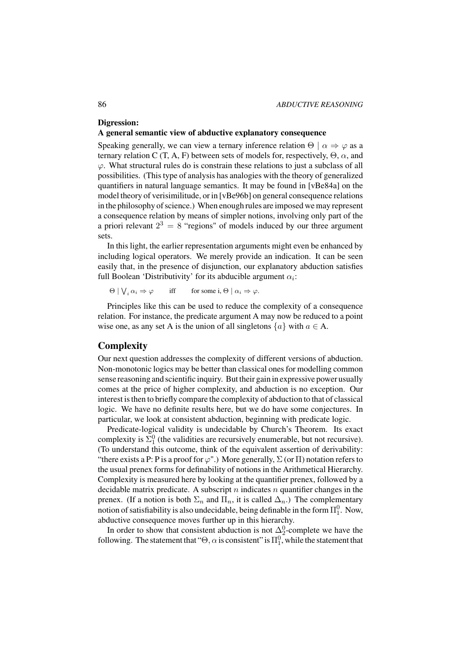#### **Digression:**

#### **A general semantic view of abductive explanatory consequence**

Speaking generally, we can view a ternary inference relation  $\Theta | \alpha \Rightarrow \varphi$  as a ternary relation C (T, A, F) between sets of models for, respectively,  $\Theta$ ,  $\alpha$ , and  $\varphi$ . What structural rules do is constrain these relations to just a subclass of all possibilities. (Thistype of analysis has analogies with the theory of generalized quantifiers in natural language semantics. It may be found in [vBe84a] on the model theory of verisimilitude, or in [vBe96b] on general consequence relations in the philosophy of science.) When enough rules are imposed we may represent a consequence relation by means of simpler notions, involving only part of the a priori relevant  $2^3 = 8$  "regions" of models induced by our three argument sets.

In this light, the earlier representation arguments might even be enhanced by including logical operators. We merely provide an indication. It can be seen easily that, in the presence of disjunction, our explanatory abduction satisfies full Boolean 'Distributivity' for its abducible argument  $\alpha_i$ :

 $\Theta \mid V$ iff for some i,  $\Theta | \alpha_i \Rightarrow \varphi$ .

Principles like this can be used to reduce the complexity of a consequence relation. For instance, the predicate argument A may now be reduced to a point wise one, as any set A is the union of all singletons  $\{a\}$  with  $a \in A$ .

# **Complexity**

Our next question addresses the complexity of different versions of abduction. Non-monotonic logics may be better than classical onesfor modelling common sense reasoning and scientific inquiry. But their gain in expressive power usually comes at the price of higher complexity, and abduction is no exception. Our interest isthen to briefly compare the complexity of abduction to that of classical logic. We have no definite results here, but we do have some conjectures. In particular, we look at consistent abduction, beginning with predicate logic.

Predicate-logical validity is undecidable by Church's Theorem. Its exact complexity is  $\Sigma_1^0$  (the validities are recursively enumerable, but not recursive). (To understand this outcome, think of the equivalent assertion of derivability: "there exists a P: P is a proof for  $\varphi$ ".) More generally,  $\Sigma$  (or  $\Pi$ ) notation refers to the usual prenex forms for definability of notions in the Arithmetical Hierarchy. Complexity is measured here by looking at the quantifier prenex, followed by a decidable matrix predicate. A subscript  $n$  indicates  $n$  quantifier changes in the prenex. (If a notion is both  $\Sigma_n$  and  $\Pi_n$ , it is called  $\Delta_n$ .) The complementary notion of satisfiability is also undecidable, being definable in the form  $\Pi^0_1$ . Now, abductive consequence moves further up in this hierarchy.

In order to show that consistent abduction is not  $\Delta_2^0$ -complete we have the following. The statement that " $\Theta$ ,  $\alpha$  is consistent" is  $\Pi^0_1$ , while the statement that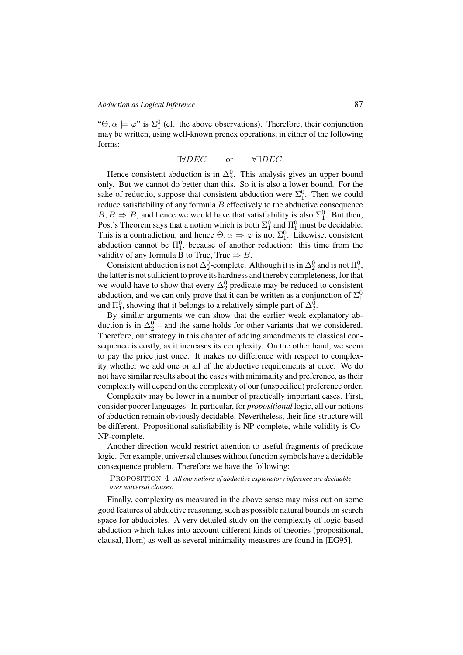" $\Theta$ ,  $\alpha \models \varphi$ " is  $\Sigma_1^0$  (cf. the above observations). Therefore, their conjunction may be written, using well-known prenex operations, in either of the following forms:

$$
\exists \forall DEC \qquad \text{or} \qquad \forall \exists DEC.
$$

Hence consistent abduction is in  $\Delta_2^0$ . This analysis gives an upper bound only. But we cannot do better than this. So it is also a lower bound. For the sake of reductio, suppose that consistent abduction were  $\Sigma_1^0$ . Then we could reduce satisfiability of any formula  $B$  effectively to the abductive consequence  $B, B \Rightarrow B$ , and hence we would have that satisfiability is also  $\Sigma_1^0$ . But then, Post's Theorem says that a notion which is both  $\Sigma_1^0$  and  $\Pi_1^0$  must be decidable. This is a contradiction, and hence  $\Theta$ ,  $\alpha \Rightarrow \varphi$  is not  $\Sigma_1^0$ . Likewise, consistent abduction cannot be  $\Pi_1^0$ , because of another reduction: this time from the validity of any formula B to True, True  $\Rightarrow$  B.

Consistent abduction is not  $\Delta_2^0$ -complete. Although it is in  $\Delta_2^0$  and is not  $\Pi_1^0$ , the latter is not sufficient to prove its hardness and thereby completeness, for that we would have to show that every  $\Delta_2^0$  predicate may be reduced to consistent abduction, and we can only prove that it can be written as a conjunction of  $\Sigma_1^0$ and  $\Pi_1^0$ , showing that it belongs to a relatively simple part of  $\Delta_2^0$ .

By similar arguments we can show that the earlier weak explanatory abduction is in  $\Delta_2^0$  – and the same holds for other variants that we considered. Therefore, our strategy in this chapter of adding amendments to classical consequence is costly, as it increases its complexity. On the other hand, we seem to pay the price just once. It makes no difference with respect to complexity whether we add one or all of the abductive requirements at once. We do not have similar results about the cases with minimality and preference, as their complexity will depend on the complexity of our (unspecified) preference order.

Complexity may be lower in a number of practically important cases. First, consider poorer languages. In particular, for *propositional* logic, all our notions of abduction remain obviously decidable. Nevertheless, their fine-structure will be different. Propositional satisfiability is NP-complete, while validity is Co-NP-complete.

Another direction would restrict attention to useful fragments of predicate logic. For example, universal clauses without function symbols have a decidable consequence problem. Therefore we have the following:

Proposition 4 *All our notions of abductive explanatory inference are decidable over universal clauses.*

Finally, complexity as measured in the above sense may miss out on some good features of abductive reasoning, such as possible natural bounds on search space for abducibles. A very detailed study on the complexity of logic-based abduction which takes into account different kinds of theories (propositional, clausal, Horn) as well as several minimality measures are found in [EG95].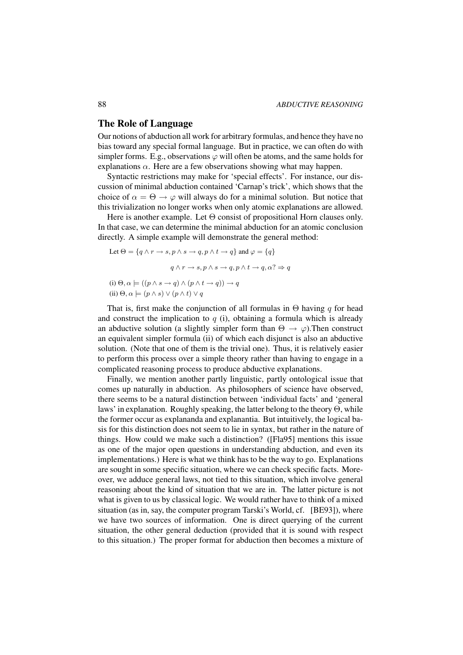# **The Role of Language**

Our notions of abduction all work for arbitrary formulas, and hence they have no bias toward any special formal language. But in practice, we can often do with simpler forms. E.g., observations  $\varphi$  will often be atoms, and the same holds for explanations  $\alpha$ . Here are a few observations showing what may happen.

Syntactic restrictions may make for 'special effects'. For instance, our discussion of minimal abduction contained 'Carnap's trick', which shows that the choice of  $\alpha = \Theta \rightarrow \varphi$  will always do for a minimal solution. But notice that this trivialization no longer works when only atomic explanations are allowed.

Here is another example. Let  $\Theta$  consist of propositional Horn clauses only. In that case, we can determine the minimal abduction for an atomic conclusion directly. A simple example will demonstrate the general method:

Let 
$$
\Theta = \{q \land r \to s, p \land s \to q, p \land t \to q\}
$$
 and  $\varphi = \{q\}$   

$$
q \land r \to s, p \land s \to q, p \land t \to q, \alpha? \Rightarrow q
$$
  
(i)  $\Theta, \alpha \models ((p \land s \to q) \land (p \land t \to q)) \to q$   
(ii)  $\Theta, \alpha \models (p \land s) \lor (p \land t) \lor q$ 

That is, first make the conjunction of all formulas in  $\Theta$  having q for head and construct the implication to  $q$  (i), obtaining a formula which is already an abductive solution (a slightly simpler form than  $\Theta \rightarrow \varphi$ ). Then construct an equivalent simpler formula (ii) of which each disjunct is also an abductive solution. (Note that one of them is the trivial one). Thus, it is relatively easier to perform this process over a simple theory rather than having to engage in a complicated reasoning process to produce abductive explanations.

Finally, we mention another partly linguistic, partly ontological issue that comes up naturally in abduction. As philosophers of science have observed, there seems to be a natural distinction between 'individual facts' and 'general laws' in explanation. Roughly speaking, the latter belong to the theory Θ, while the former occur as explananda and explanantia. But intuitively, the logical basis for this distinction does not seem to lie in syntax, but rather in the nature of things. How could we make such a distinction? ([Fla95] mentions this issue as one of the major open questions in understanding abduction, and even its implementations.) Here is what we think has to be the way to go. Explanations are sought in some specific situation, where we can check specific facts. Moreover, we adduce general laws, not tied to this situation, which involve general reasoning about the kind of situation that we are in. The latter picture is not what is given to us by classical logic. We would rather have to think of a mixed situation (as in, say, the computer program Tarski's World, cf. [BE93]), where we have two sources of information. One is direct querying of the current situation, the other general deduction (provided that it is sound with respect to this situation.) The proper format for abduction then becomes a mixture of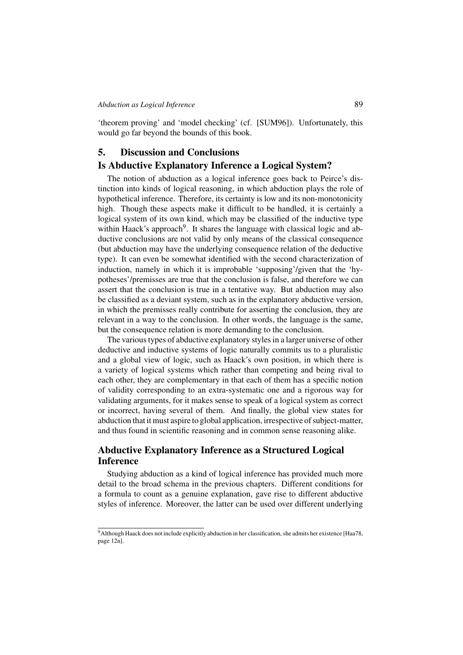'theorem proving' and 'model checking' (cf. [SUM96]). Unfortunately, this would go far beyond the bounds of this book.

# **5. Discussion and Conclusions**

# **Is Abductive Explanatory Inference a Logical System?**

The notion of abduction as a logical inference goes back to Peirce's distinction into kinds of logical reasoning, in which abduction plays the role of hypothetical inference. Therefore, its certainty is low and its non-monotonicity high. Though these aspects make it difficult to be handled, it is certainly a logical system of its own kind, which may be classified of the inductive type within Haack's approach<sup>9</sup>. It shares the language with classical logic and abductive conclusions are not valid by only means of the classical consequence (but abduction may have the underlying consequence relation of the deductive type). It can even be somewhat identified with the second characterization of induction, namely in which it is improbable 'supposing'/given that the 'hypotheses'/premisses are true that the conclusion is false, and therefore we can assert that the conclusion is true in a tentative way. But abduction may also be classified as a deviant system, such as in the explanatory abductive version, in which the premisses really contribute for asserting the conclusion, they are relevant in a way to the conclusion. In other words, the language is the same, but the consequence relation is more demanding to the conclusion.

The various types of abductive explanatory styles in a larger universe of other deductive and inductive systems of logic naturally commits us to a pluralistic and a global view of logic, such as Haack's own position, in which there is a variety of logical systems which rather than competing and being rival to each other, they are complementary in that each of them has a specific notion of validity corresponding to an extra-systematic one and a rigorous way for validating arguments, for it makes sense to speak of a logical system as correct or incorrect, having several of them. And finally, the global view states for abduction that it must aspire to global application, irrespective of subject-matter, and thus found in scientific reasoning and in common sense reasoning alike.

# **Abductive Explanatory Inference as a Structured Logical Inference**

Studying abduction as a kind of logical inference has provided much more detail to the broad schema in the previous chapters. Different conditions for a formula to count as a genuine explanation, gave rise to different abductive styles of inference. Moreover, the latter can be used over different underlying

<sup>9</sup>Although Haack does not include explicitly abduction in her classification, she admits her existence [Haa78, page 12n].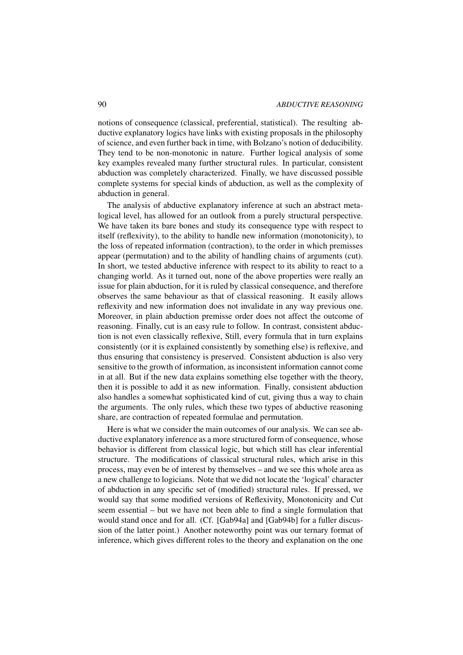notions of consequence (classical, preferential, statistical). The resulting abductive explanatory logics have links with existing proposals in the philosophy of science, and even further back in time, with Bolzano's notion of deducibility. They tend to be non-monotonic in nature. Further logical analysis of some key examples revealed many further structural rules. In particular, consistent abduction was completely characterized. Finally, we have discussed possible complete systems for special kinds of abduction, as well as the complexity of abduction in general.

The analysis of abductive explanatory inference at such an abstract metalogical level, has allowed for an outlook from a purely structural perspective. We have taken its bare bones and study its consequence type with respect to itself (reflexivity), to the ability to handle new information (monotonicity), to the loss of repeated information (contraction), to the order in which premisses appear (permutation) and to the ability of handling chains of arguments (cut). In short, we tested abductive inference with respect to its ability to react to a changing world. As it turned out, none of the above properties were really an issue for plain abduction, for it is ruled by classical consequence, and therefore observes the same behaviour as that of classical reasoning. It easily allows reflexivity and new information does not invalidate in any way previous one. Moreover, in plain abduction premisse order does not affect the outcome of reasoning. Finally, cut is an easy rule to follow. In contrast, consistent abduction is not even classically reflexive, Still, every formula that in turn explains consistently (or it is explained consistently by something else) is reflexive, and thus ensuring that consistency is preserved. Consistent abduction is also very sensitive to the growth of information, as inconsistent information cannot come in at all. But if the new data explains something else together with the theory, then it is possible to add it as new information. Finally, consistent abduction also handles a somewhat sophisticated kind of cut, giving thus a way to chain the arguments. The only rules, which these two types of abductive reasoning share, are contraction of repeated formulae and permutation.

Here is what we consider the main outcomes of our analysis. We can see abductive explanatory inference as a more structured form of consequence, whose behavior is different from classical logic, but which still has clear inferential structure. The modifications of classical structural rules, which arise in this process, may even be of interest by themselves – and we see this whole area as a new challenge to logicians. Note that we did not locate the 'logical' character of abduction in any specific set of (modified) structural rules. If pressed, we would say that some modified versions of Reflexivity, Monotonicity and Cut seem essential – but we have not been able to find a single formulation that would stand once and for all. (Cf. [Gab94a] and [Gab94b] for a fuller discussion of the latter point.) Another noteworthy point was our ternary format of inference, which gives different roles to the theory and explanation on the one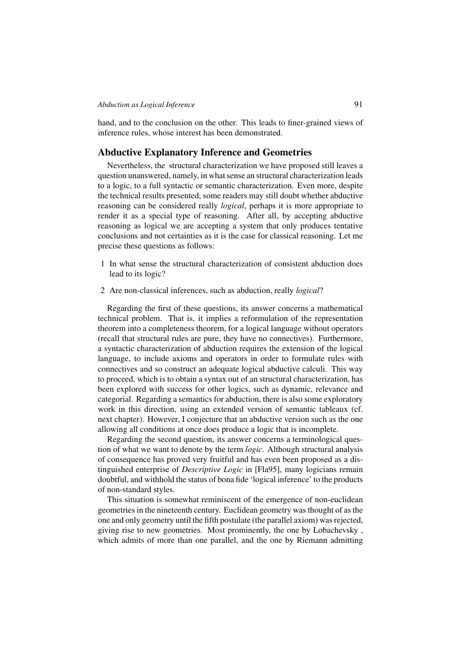hand, and to the conclusion on the other. This leads to finer-grained views of inference rules, whose interest has been demonstrated.

# **Abductive Explanatory Inference and Geometries**

Nevertheless, the structural characterization we have proposed still leaves a question unanswered, namely, in what sense an structural characterization leads to a logic, to a full syntactic or semantic characterization. Even more, despite the technical results presented, some readers may still doubt whether abductive reasoning can be considered really *logical*, perhaps it is more appropriate to render it as a special type of reasoning. After all, by accepting abductive reasoning as logical we are accepting a system that only produces tentative conclusions and not certainties as it is the case for classical reasoning. Let me precise these questions as follows:

- 1 In what sense the structural characterization of consistent abduction does lead to its logic?
- 2 Are non-classical inferences, such as abduction, really *logical*?

Regarding the first of these questions, its answer concerns a mathematical technical problem. That is, it implies a reformulation of the representation theorem into a completeness theorem, for a logical language without operators (recall that structural rules are pure, they have no connectives). Furthermore, a syntactic characterization of abduction requires the extension of the logical language, to include axioms and operators in order to formulate rules with connectives and so construct an adequate logical abductive calculi. This way to proceed, which is to obtain a syntax out of an structural characterization, has been explored with success for other logics, such as dynamic, relevance and categorial. Regarding a semantics for abduction, there is also some exploratory work in this direction, using an extended version of semantic tableaux (cf. next chapter). However, I conjecture that an abductive version such as the one allowing all conditions at once does produce a logic that is incomplete.

Regarding the second question, its answer concerns a terminological question of what we want to denote by the term *logic*. Although structural analysis of consequence has proved very fruitful and has even been proposed as a distinguished enterprise of *Descriptive Logic* in [Fla95], many logicians remain doubtful, and withhold the status of bona fide 'logical inference' to the products of non-standard styles.

This situation is somewhat reminiscent of the emergence of non-euclidean geometries in the nineteenth century. Euclidean geometry was thought of as the one and only geometry until the fifth postulate (the parallel axiom) wasrejected, giving rise to new geometries. Most prominently, the one by Lobachevsky , which admits of more than one parallel, and the one by Riemann admitting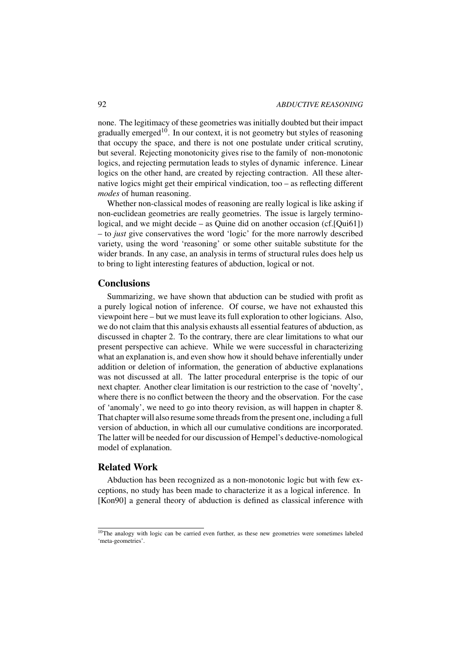none. The legitimacy of these geometries was initially doubted but their impact  $gradually emerged<sup>10</sup>$ . In our context, it is not geometry but styles of reasoning that occupy the space, and there is not one postulate under critical scrutiny, but several. Rejecting monotonicity gives rise to the family of non-monotonic logics, and rejecting permutation leads to styles of dynamic inference. Linear logics on the other hand, are created by rejecting contraction. All these alternative logics might get their empirical vindication, too – as reflecting different *modes* of human reasoning.

Whether non-classical modes of reasoning are really logical is like asking if non-euclidean geometries are really geometries. The issue is largely terminological, and we might decide – as Quine did on another occasion (cf.[Qui61]) – to *just* give conservatives the word 'logic' for the more narrowly described variety, using the word 'reasoning' or some other suitable substitute for the wider brands. In any case, an analysis in terms of structural rules does help us to bring to light interesting features of abduction, logical or not.

#### **Conclusions**

Summarizing, we have shown that abduction can be studied with profit as a purely logical notion of inference. Of course, we have not exhausted this viewpoint here – but we must leave its full exploration to other logicians. Also, we do not claim that this analysis exhausts all essential features of abduction, as discussed in chapter 2. To the contrary, there are clear limitations to what our present perspective can achieve. While we were successful in characterizing what an explanation is, and even show how it should behave inferentially under addition or deletion of information, the generation of abductive explanations was not discussed at all. The latter procedural enterprise is the topic of our next chapter. Another clear limitation is our restriction to the case of 'novelty', where there is no conflict between the theory and the observation. For the case of 'anomaly', we need to go into theory revision, as will happen in chapter 8. That chapter will also resume some threads from the present one, including a full version of abduction, in which all our cumulative conditions are incorporated. The latter will be needed for our discussion of Hempel's deductive-nomological model of explanation.

# **Related Work**

Abduction has been recognized as a non-monotonic logic but with few exceptions, no study has been made to characterize it as a logical inference. In [Kon90] a general theory of abduction is defined as classical inference with

<sup>&</sup>lt;sup>10</sup>The analogy with logic can be carried even further, as these new geometries were sometimes labeled 'meta-geometries'.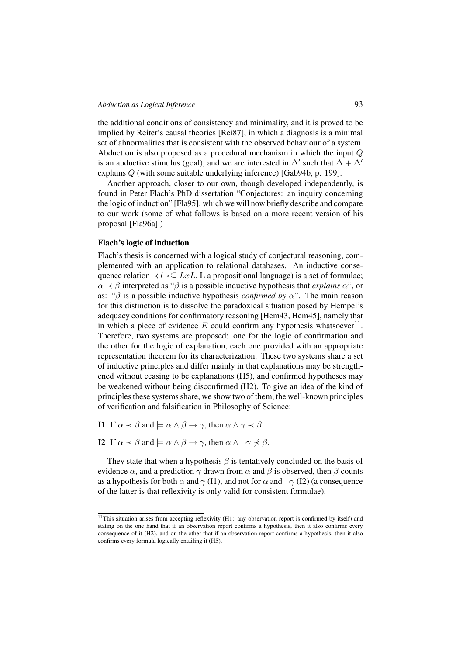the additional conditions of consistency and minimality, and it is proved to be implied by Reiter's causal theories [Rei87], in which a diagnosis is a minimal set of abnormalities that is consistent with the observed behaviour of a system. Abduction is also proposed as a procedural mechanism in which the input Q is an abductive stimulus (goal), and we are interested in  $\Delta'$  such that  $\Delta + \Delta'$ explains Q (with some suitable underlying inference) [Gab94b, p. 199].

Another approach, closer to our own, though developed independently, is found in Peter Flach's PhD dissertation "Conjectures: an inquiry concerning the logic of induction" [Fla95], which we will now briefly describe and compare to our work (some of what follows is based on a more recent version of his proposal [Fla96a].)

#### **Flach's logic of induction**

Flach's thesis is concerned with a logical study of conjectural reasoning, complemented with an application to relational databases. An inductive consequence relation  $\prec$  ( $\prec \subseteq LxL$ , L a propositional language) is a set of formulae;  $\alpha \prec \beta$  interpreted as " $\beta$  is a possible inductive hypothesis that *explains*  $\alpha$ ", or as: "β is a possible inductive hypothesis *confirmed by* α". The main reason for this distinction is to dissolve the paradoxical situation posed by Hempel's adequacy conditions for confirmatory reasoning [Hem43, Hem45], namely that in which a piece of evidence E could confirm any hypothesis whatsoever<sup>11</sup>. Therefore, two systems are proposed: one for the logic of confirmation and the other for the logic of explanation, each one provided with an appropriate representation theorem for its characterization. These two systems share a set of inductive principles and differ mainly in that explanations may be strengthened without ceasing to be explanations (H5), and confirmed hypotheses may be weakened without being disconfirmed (H2). To give an idea of the kind of principlesthese systemsshare, we show two of them, the well-known principles of verification and falsification in Philosophy of Science:

**I1** If  $\alpha \prec \beta$  and  $\models \alpha \land \beta \rightarrow \gamma$ , then  $\alpha \land \gamma \prec \beta$ .

**I2** If  $\alpha \prec \beta$  and  $\models \alpha \land \beta \rightarrow \gamma$ , then  $\alpha \land \neg \gamma \not\prec \beta$ .

They state that when a hypothesis  $\beta$  is tentatively concluded on the basis of evidence  $\alpha$ , and a prediction  $\gamma$  drawn from  $\alpha$  and  $\beta$  is observed, then  $\beta$  counts as a hypothesis for both  $\alpha$  and  $\gamma$  (I1), and not for  $\alpha$  and  $\neg \gamma$  (I2) (a consequence of the latter is that reflexivity is only valid for consistent formulae).

<sup>&</sup>lt;sup>11</sup>This situation arises from accepting reflexivity (H1: any observation report is confirmed by itself) and stating on the one hand that if an observation report confirms a hypothesis, then it also confirms every consequence of it (H2), and on the other that if an observation report confirms a hypothesis, then it also confirms every formula logically entailing it (H5).